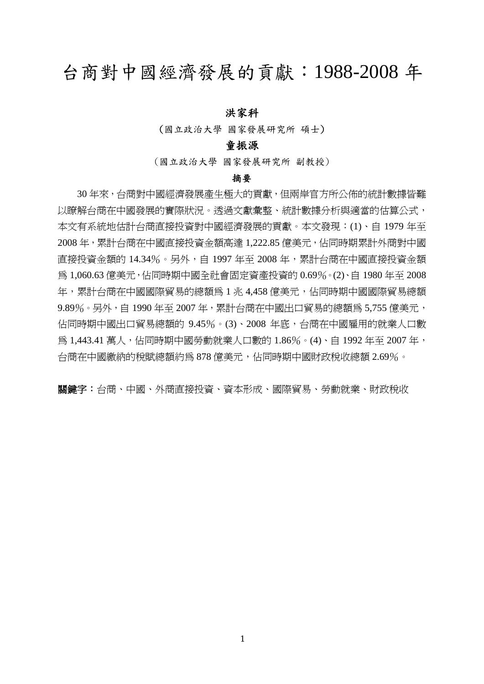# 台商對中國經濟發展的貢獻:1988-2008 年

#### 洪家科

(國立政治大學 國家發展研究所 碩士)

#### 童振源

(國立政治大學 國家發展研究所 副教授)

#### 摘要

 30 年來,台商對中國經濟發展產生極大的貢獻,但兩岸官方所公佈的統計數據皆難 以瞭解台商在中國發展的實際狀況。透過文獻彙整、統計數據分析與適當的估算公式, 本文有系統地估計台商直接投資對中國經濟發展的貢獻。本文發現:(1)、自 1979 年至 2008 年,累計台商在中國直接投資金額高達 1,222.85 億美元,佔同時期累計外商對中國 直接投資金額的 14.34%。另外,自 1997 年至 2008 年,累計台商在中國直接投資金額 為 1,060.63 億美元,佔同時期中國全社會固定資產投資的 0.69%。(2)、自 1980 年至 2008 年,累計台商在中國國際貿易的總額為 1 兆 4,458 億美元,估同時期中國國際貿易總額 9.89%。另外,自 1990 年至 2007 年,累計台商在中國出口貿易的總額為 5,755 億美元, 佔同時期中國出口貿易總額的 9.45%。(3)、2008 年底,台商在中國雇用的就業人口數 為 1,443.41 萬人,佔同時期中國勞動就業人口數的 1.86%。(4)、自 1992 年至 2007 年, 台商在中國繳納的稅賦總額約爲 878 億美元,佔同時期中國財政稅收總額 2.69%。

關鍵字:台商、中國、外商直接投資、資本形成、國際貿易、勞動就業、財政稅收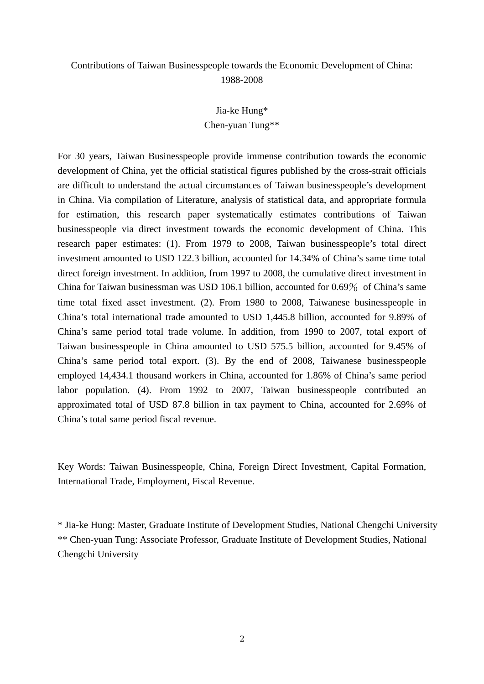### Contributions of Taiwan Businesspeople towards the Economic Development of China: 1988-2008

Jia-ke Hung\* Chen-yuan Tung\*\*

For 30 years, Taiwan Businesspeople provide immense contribution towards the economic development of China, yet the official statistical figures published by the cross-strait officials are difficult to understand the actual circumstances of Taiwan businesspeople's development in China. Via compilation of Literature, analysis of statistical data, and appropriate formula for estimation, this research paper systematically estimates contributions of Taiwan businesspeople via direct investment towards the economic development of China. This research paper estimates: (1). From 1979 to 2008, Taiwan businesspeople's total direct investment amounted to USD 122.3 billion, accounted for 14.34% of China's same time total direct foreign investment. In addition, from 1997 to 2008, the cumulative direct investment in China for Taiwan businessman was USD 106.1 billion, accounted for 0.69% of China's same time total fixed asset investment. (2). From 1980 to 2008, Taiwanese businesspeople in China's total international trade amounted to USD 1,445.8 billion, accounted for 9.89% of China's same period total trade volume. In addition, from 1990 to 2007, total export of Taiwan businesspeople in China amounted to USD 575.5 billion, accounted for 9.45% of China's same period total export. (3). By the end of 2008, Taiwanese businesspeople employed 14,434.1 thousand workers in China, accounted for 1.86% of China's same period labor population. (4). From 1992 to 2007, Taiwan businesspeople contributed an approximated total of USD 87.8 billion in tax payment to China, accounted for 2.69% of China's total same period fiscal revenue.

Key Words: Taiwan Businesspeople, China, Foreign Direct Investment, Capital Formation, International Trade, Employment, Fiscal Revenue.

\* Jia-ke Hung: Master, Graduate Institute of Development Studies, National Chengchi University \*\* Chen-yuan Tung: Associate Professor, Graduate Institute of Development Studies, National Chengchi University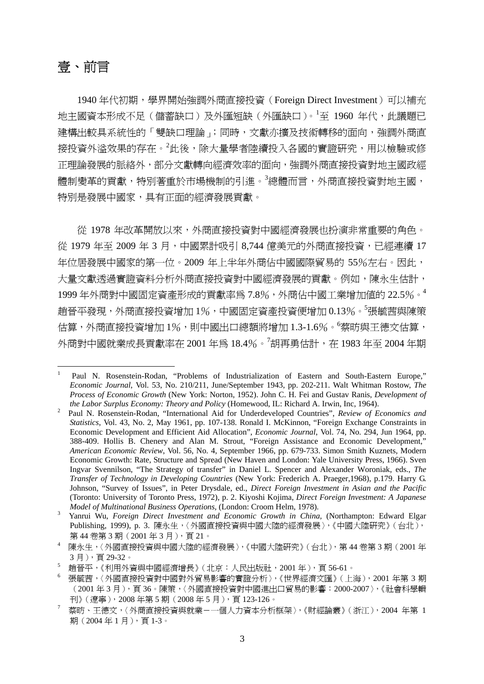# 壹、前言

1940 年代初期,學界開始強調外商直接投資(Foreign Direct Investment)可以補充 地主國資本形成不足(儲蓄缺口)及外匯短缺(外匯缺口)。<sup>1</sup> 至 1960 年代,此議題已 建構出較具系統性的「雙缺口理論」;同時,文獻亦擴及技術轉移的面向,強調外商直 接投資外溢效果的存在。<sup>2</sup>此後,除大量學者陸續投入各國的實證研究,用以檢驗或修 正理論發展的脈絡外,部分文獻轉向經濟效率的面向,強調外商直接投資對地主國政經 體制變革的貢獻,特別著重於市場機制的引進。<sup>3</sup>總體而言,外商直接投資對地主國, 特別是發展中國家,具有正面的經濟發展貢獻。

從 1978 年改革開放以來,外商直接投資對中國經濟發展也扮演非常重要的角色。 從 1979 年至 2009 年 3 月,中國累計吸引 8.744 億美元的外商直接投資,已經連續 17 年位居發展中國家的第一位。2009 年上半年外商佔中國國際貿易的 55%左右。因此, 大量文獻透過實證資料分析外商直接投資對中國經濟發展的貢獻。例如,陳永生估計, 1999 年外商對中國固定資產形成的貢獻率為 7.8%,外商佔中國工業增加值的 22.5%。<sup>4</sup> 趙晉平發現,外商直接投資增加 1%,中國固定資產投資便增加 0.13% <sup>。5</sup>張毓茜與陳策 估算,外商直接投資增加 1%,則中國出口總額將增加 1.3-1.6%。 <sup>6</sup>蔡昉與王德文估算, 外商對中國就業成長貢獻率在 2001 年為 18.4%。<sup>7</sup>胡再勇估計,在 1983 年至 2004 年期

<sup>1</sup> Paul N. Rosenstein-Rodan, "Problems of Industrialization of Eastern and South-Eastern Europe," *Economic Journal*, Vol. 53, No. 210/211, June/September 1943, pp. 202-211. Walt Whitman Rostow, *The Process of Economic Growth* (New York: Norton, 1952). John C. H. Fei and Gustav Ranis, *Development of the Labor Surplus Economy: Theory and Policy* (Homewood, IL: Richard A. Irwin, Inc, 1964).

Paul N. Rosenstein-Rodan, "International Aid for Underdeveloped Countries", *Review of Economics and Statistics*, Vol. 43, No. 2, May 1961, pp. 107-138. Ronald I. McKinnon, "Foreign Exchange Constraints in Economic Development and Efficient Aid Allocation", *Economic Journal*, Vol. 74, No. 294, Jun 1964, pp. 388-409. Hollis B. Chenery and Alan M. Strout, "Foreign Assistance and Economic Development," *American Economic Review*, Vol. 56, No. 4, September 1966, pp. 679-733. Simon Smith Kuznets, Modern Economic Growth: Rate, Structure and Spread (New Haven and London: Yale University Press, 1966). Sven Ingvar Svennilson, "The Strategy of transfer" in Daniel L. Spencer and Alexander Woroniak, eds., *The Transfer of Technology in Developing Countries* (New York: Frederich A. Praeger,1968), p.179. Harry G. Johnson, "Survey of Issues", in Peter Drysdale, ed., *Direct Foreign Investment in Asian and the Pacific* (Toronto: University of Toronto Press, 1972), p. 2. Kiyoshi Kojima, *Direct Foreign Investment: A Japanese Model of Multinational Business Operations, (London: Croom Helm, 1978).* 

Yanrui Wu, *Foreign Direct Investment and Economic Growth in China,* (Northampton: Edward Elgar Publishing, 1999), p. 3. 陳永生,〈外國直接投資與中國大陸的經濟發展〉,《中國大陸研究》(台北), 第44卷第3期(2001年3月),頁21。

<sup>4</sup> 陳永生,〈外國直接投資與中國大陸的經濟發展〉,《中國大陸研究》(台北),第 44 卷第 3 期(2001 年 3 月),頁 29-32。

<sup>5</sup> 趙晉平,《利用外資與中國經濟增長》(北京:人民出版社,2001 年),頁 56-61。

<sup>6</sup> 張毓茜,〈外國直接投資對中國對外貿易影響的實證分析〉,《世界經濟文匯》(上海),2001 年第 3 期 (2001 年 3 月),頁 36。陳策,〈外國直接投資對中國進出口貿易的影響:2000-2007〉,《社會科學輯 刊》(遼寧),2008 年第 5 期(2008 年 5 月),頁 123-126。

<sup>7</sup> 蔡昉、王德文,〈外商直接投資與就業-一個人力資本分析框架〉,《財經論叢》(浙江),2004 年第 1 期(2004年1月),頁1-3。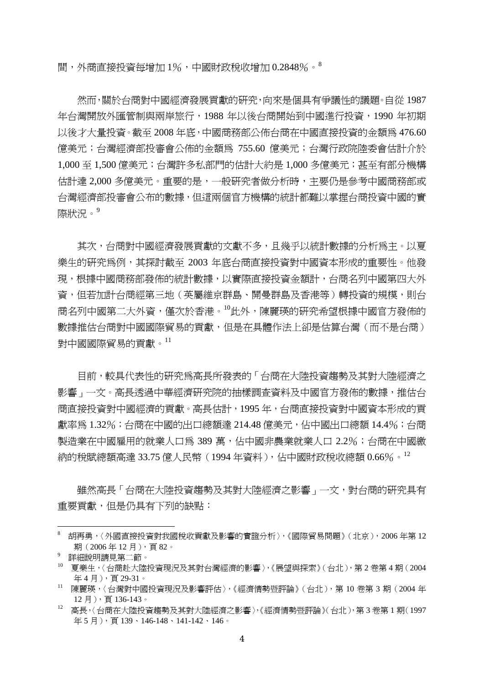間,外商直接投資每增加 1%,中國財政稅收增加 0.2848%。<sup>8</sup>

 然而,關於台商對中國經濟發展貢獻的研究,向來是個具有爭議性的議題。自從 1987 年台灣開放外匯管制與兩岸旅行,1988 年以後台商開始到中國進行投資,1990 年初期 以後才大量投資。截至 2008 年底,中國商務部公佈台商在中國直接投資的金額為 476.60 億美元;台灣經濟部投審會公佈的金額為 755.60 億美元;台灣行政院陸委會估計介於 1,000 至 1,500 億美元;台灣許多私部門的估計大約是 1,000 多億美元;甚至有部分機構 估計達 2,000 多億美元。重要的是,一般研究者做分析時,主要仍是參考中國商務部或 台灣經濟部投審會公布的數據,但這兩個官方機構的統計都難以掌握台商投資中國的實 際狀況。<sup>9</sup>

其次,台商對中國經濟發展貢獻的文獻不多,且幾乎以統計數據的分析為主。以夏 樂生的研究為例,其探討截至 2003 年底台商直接投資對中國資本形成的重要性。他發 現,根據中國商務部發佈的統計數據,以實際直接投資金額計,台商名列中國第四大外 資,但若加計台商經第三地(英屬維京群島、開曼群島及香港等)轉投資的規模,則台 商名列中國第二大外資,僅次於香港。<sup>10</sup>此外,陳麗瑛的研究希望根據中國官方發佈的 數據推估台商對中國國際貿易的貢獻,但是在具體作法上卻是估算台灣(而不是台商) 對中國國際貿易的貢獻。<sup>11</sup>

目前,較具代表性的研究為高長所發表的「台商在大陸投資趨勢及其對大陸經濟之 影響」一文。高長透過中華經濟研究院的抽樣調查資料及中國官方發佈的數據,推估台 商直接投資對中國經濟的貢獻。高長估計,1995 年,台商直接投資對中國資本形成的貢 獻率為 1.32%;台商在中國的出口總額達 214.48 億美元,佔中國出口總額 14.4%;台商 製浩業在中國雇用的就業人口為 389 萬,佔中國非農業就業人口 2.2%;台商在中國繳 納的稅賦總額高達 33.75 億人民幣(1994 年資料),佔中國財政稅收總額 0.66% <sup>。12</sup>

雖然高長「台商在大陸投資趨勢及其對大陸經濟之影響」一文,對台商的研究具有 重要貢獻,但是仍具有下列的缺點:

<sup>8</sup> 胡再勇,〈外國直接投資對我國稅收貢獻及影響的實證分析〉,《國際貿易問題》(北京),2006 年第 12 期(2006年12月),頁82。 9

詳細說明請見第二節。

<sup>10</sup> 夏樂生,〈台商赴大陸投資現況及其對台灣經濟的影響〉,《展望與探索》(台北),第 2 卷第 4 期(2004 年 4 月),頁 29-31。

<sup>11</sup> 陳麗瑛,〈台灣對中國投資現況及影響評估〉,《經濟情勢暨評論》(台北),第 10 卷第 3 期(2004 年 12 月), 百 136-143。

<sup>12</sup> 高長,〈台商在大陸投資趨勢及其對大陸經濟之影響〉,《經濟情勢暨評論》(台北),第 3 卷第 1 期(1997 年5月), 頁139、146-148、141-142、146。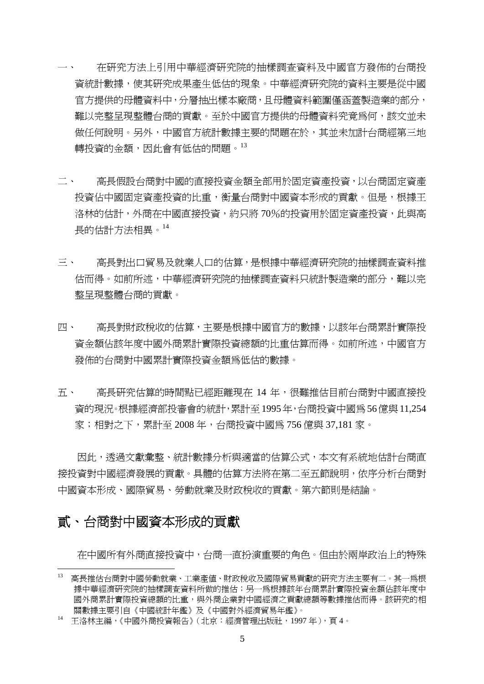- 一、 在研究方法上引用中華經濟研究院的抽樣調查資料及中國官方發佈的台商投 資統計數據,使其研究成果產生低估的現象。中華經濟研究院的資料主要是從中國 官方提供的母體資料中,分層抽出樣本廠商,且母體資料範圍僅涵蓋製造業的部分, 難以完整呈現整體台商的貢獻。至於中國官方提供的母體資料究竟為何,該文並未 做任何說明。另外,中國官方統計數據主要的問題在於,其並未加計台商經第三地 轉投資的金額,因此會有低估的問題。13
- 二、 高長假設台商對中國的直接投資金額全部用於固定資產投資,以台商固定資產 投資佔中國固定資產投資的比重,衡量台商對中國資本形成的貢獻。但是,根據王 洛林的估計,外商在中國直接投資,約只將 70%的投資用於固定資產投資,此與高 長的估計方法相異。<sup>14</sup>
- 三、 高長對出口貿易及就業人口的估算,是根據中華經濟研究院的抽樣調查資料推 估而得。如前所述,中華經濟研究院的抽樣調查資料只統計製造業的部分,難以完 整呈現整體台商的貢獻。
- 四、 高長對財政稅收的估算,主要是根據中國官方的數據,以該年台商累計實際投 資金額佔該年度中國外商累計實際投資總額的比重估算而得。如前所述,中國官方 發佈的台商對中國累計實際投資金額為低估的數據。
- 五、 高長研究估算的時間點已經距離現在 14 年,很難推估目前台商對中國直接投 資的現況。根據經濟部投審會的統計,累計至1995年,台商投資中國為56億與11,254 家;相對之下,累計至 2008 年,台商投資中國為 756 億與 37,181 家。

因此,透過文獻彙整、統計數據分析與適當的估算公式,本文有系統地估計台商直 接投資對中國經濟發展的貢獻。具體的估算方法將在第二至五節說明,依序分析台商對 中國資本形成、國際貿易、勞動就業及財政稅收的貢獻。第六節則是結論。

### 貳、台商對中國資本形成的貢獻

在中國所有外商直接投資中,台商一直扮演重要的角色。但由於兩岸政治上的特殊

<sup>13</sup> 高長推估台商對中國勞動就業、工業產值、財政稅收及國際貿易貢獻的研究方法主要有二。其一為根 據中華經濟研究院的抽樣調查資料所做的推估;另一爲根據該年台商累計實際投資金額佔該年度中 國外商累計實際投資總額的比重,與外商企業對中國經濟之貢獻總額等數據推估而得。該研究的相 關數據主要引自《中國統計年鑑》及《中國對外經濟貿易年鑑》。

<sup>14</sup> 王洛林主編,《中國外商投資報告》(北京:經濟管理出版社,1997 年),頁 4。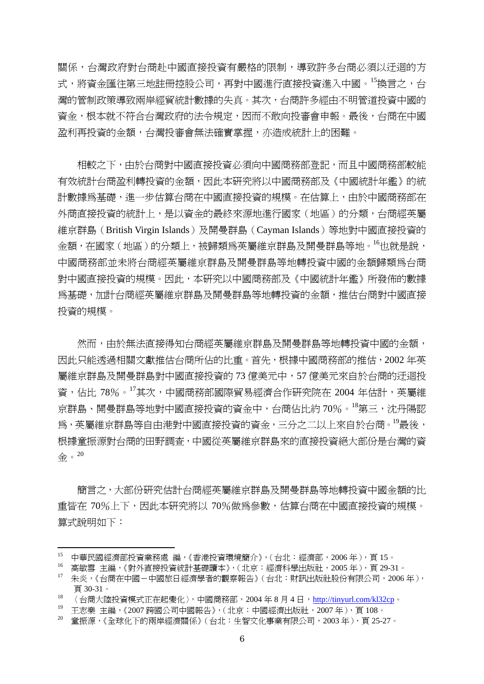關係,台灣政府對台商赴中國直接投資有嚴格的限制,導致許多台商必須以迂迴的方 式,將資金匯往第三地註冊控股公司,再對中國進行直接投資進入中國。15換言之,台 灣的管制政策導致兩岸經貿統計數據的失真。其次,台商許多經由不明管道投資中國的 資金,根本就不符合台灣政府的法令規定,因而不敢向投審會申報。最後,台商在中國 盈利再投資的金額,台灣投審會無法確實掌握,亦造成統計上的困難。

 相較之下,由於台商對中國直接投資必須向中國商務部登記,而且中國商務部較能 有效統計台商盈利轉投資的金額,因此本研究將以中國商務部及《中國統計年鑑》的統 計數據為基礎,進一步估算台商在中國直接投資的規模。在估算上,由於中國商務部在 外商直接投資的統計上,是以資金的最終來源地進行國家(地區)的分類,台商經英屬 維京群島(British Virgin Islands)及開曼群島(Cayman Islands)等地對中國直接投資的 金額,在國家(地區)的分類上,被歸類為英屬維京群島及開曼群島等地。<sup>16</sup>也就是說, 中國商務部並未將台商經英屬維京群島及開曼群島等地轉投資中國的金額歸類為台商 對中國直接投資的規模。因此,本研究以中國商務部及《中國統計年鑑》所發佈的數據 為基礎,加計台商經英屬維京群島及開曼群島等地轉投資的金額,推估台商對中國直接 投資的規模。

然而,由於無法直接得知台商經英屬維京群鳥及開曼群鳥等地轉投資中國的金額, 因此只能透過相關文獻推估台商所佔的比重。首先,根據中國商務部的推估,2002 年英 屬維京群島及開曼群島對中國直接投資的 73 億美元中,57 億美元來自於台商的迂迴投 資,佔比 78%。17其次,中國商務部國際貿易經濟合作研究院在 2004 年估計,英屬維 京群島、開曼群島等地對中國直接投資的資金中,台商佔比約 70%。<sup>18</sup>第三,沈丹陽認 為,英屬維京群島等自由港對中國直接投資的資金,三分之二以上來自於台商。<sup>19</sup>最後, 根據童振源對台商的田野調查,中國從英屬維京群島來的直接投資絕大部份是台灣的資 金。<sup>20</sup>

簡言之,大部份研究估計台商經英屬維京群島及開曼群島等地轉投資中國金額的比 重皆在 70%上下,因此本研究將以 70%做為參數,估算台商在中國直接投資的規模。 算式說明如下:

<sup>15</sup> 中華民國經濟部投資業務處 編,《香港投資環境簡介》,(台北:經濟部,2006年),頁15。

<sup>16</sup> 高敏雪 主編,《對外直接投資統計基礎讀本》,(北京:經濟科學出版社,2005 年),頁 29-31。

<sup>17</sup> 朱炎,《台商在中國-中國旅日經濟學者的觀察報告》(台北:財訊出版社股份有限公司,2006 年), 頁 30-31。

 $18$  〈台商大陸投資模式正在起變化〉,中國商務部,2004年8月4日,http://tinyurl.com/kl32cp。

<sup>19</sup> 王志樂 主編,《2007 跨國公司中國報告》,(北京:中國經濟出版社,2007 年),頁 108。

<sup>20</sup> 童振源,《全球化下的兩岸經濟關係》(台北:生智文化事業有限公司,2003 年),頁 25-27。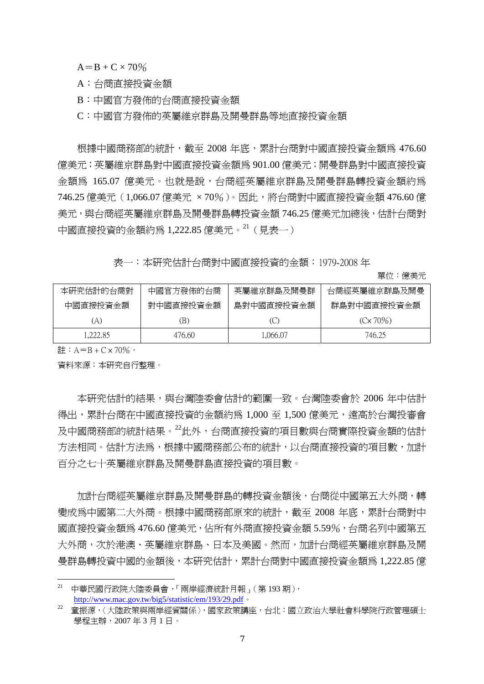$A = B + C \times 70\%$ 

A:台商直接投資金額

B:中國官方發佈的台商直接投資金額

C:中國官方發佈的英屬維京群島及開曼群島等地直接投資金額

根據中國商務部的統計,截至 2008 年底,累計台商對中國直接投資金額為 476.60 億美元;英屬維京群島對中國直接投資金額為 901.00 億美元;開曼群島對中國直接投資 金額為 165.07 億美元。也就是說,台商經英屬維京群島及開曼群島轉投資金額約為 746.25 億美元 (1,066.07 億美元 × 70%)。因此, 將台商對中國直接投資金額 476.60 億 美元, 與台商經英屬維京群鳥及開曼群島轉投資金額 746.25 億美元加總後, 估計台商對 中國直接投資的金額約為 1,222.85 億美元。<sup>21</sup>(見表一)

表一:本研究估計台商對中國直接投資的金額:1979-2008 年

單位:億美元

| 本研究估計的台商對 | 中國官方發佈的台商 | 英屬維京群島及開曼群 | 台商經英屬維京群島及開曼      |
|-----------|-----------|------------|-------------------|
| 中國直接投資金額  | 對中國直接投資金額 | 島對中國直接投資金額 | 群島對中國直接投資金額       |
| A)        | B)        | (C)        | $(C \times 70\%)$ |
| 1.222.85  | 476.60    | 1,066.07   | 746.25            |

註:  $A = B + C \times 70\%$ 。

資料來源:本研究自行整理。

本研究估計的結果,與台灣陸委會估計的範圍一致。台灣陸委會於 2006 年中估計 得出,累計台商在中國直接投資的金額約為 1,000 至 1,500 億美元,遠高於台灣投審會 及中國商務部的統計結果。<sup>22</sup>此外,台商直接投資的項目數與台商實際投資金額的估計 方法相同。估計方法為,根據中國商務部公布的統計,以台商直接投資的項目數,加計 百分之七十英屬維京群島及開曼群島直接投資的項目數。

 加計台商經英屬維京群島及開曼群島的轉投資金額後,台商從中國第五大外商,轉 變成為中國第二大外商。根據中國商務部原來的統計,截至 2008 年底,累計台商對中 國直接投資金額為 476.60 億美元,佔所有外商直接投資金額 5.59%,台商名列中國第五 大外商,次於港澳、英屬維京群島、日本及美國。然而,加計台商經英屬維京群島及開 曼群島轉投資中國的金額後,本研究估計,累計台商對中國直接投資金額為 1,222.85 億

 $^{21}$  中華民國行政院大陸委員會,「兩岸經濟統計月報」(第 193 期 ), http://www.mac.gov.tw/big5/statistic/em/193/29.pdf。

<sup>22</sup> 童振源,〈大陸政策與兩岸經貿關係〉,國家政策講座,台北:國立政治大學社會科學院行政管理碩士 學程主辦,2007 年 3 月 1 日。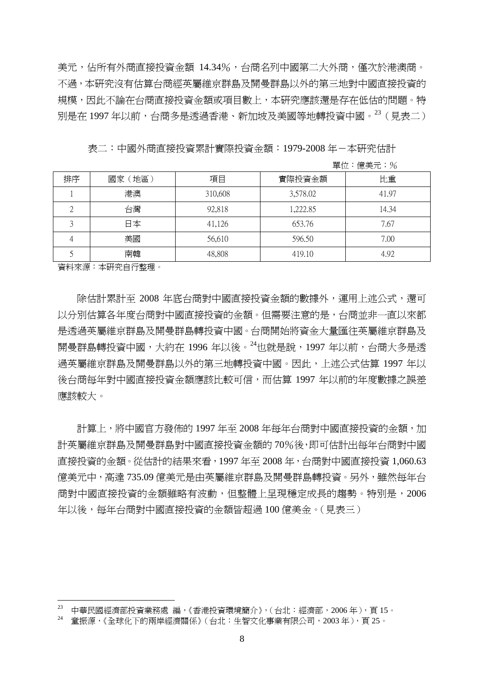美元,佔所有外商直接投資金額 14.34%,台商名列中國第二大外商,僅次於港澳商。 不過,本研究沒有估算台商經英屬維京群島及開曼群島以外的第三地對中國直接投資的 規模,因此不論在台商直接投資金額或項目數上,本研究應該還是存在低估的問題。特 別是在 1997 年以前,台商多是透過香港、新加坡及美國等地轉投資中國。<sup>23</sup>(見表二)

表二:中國外商直接投資累計實際投資金額: 1979-2008 年-本研究估計

單位:億美元;%

| 排序 | 國家(地區) | 項目      | 實際投資金額   | 比重    |
|----|--------|---------|----------|-------|
|    | 港澳     | 310,608 | 3,578.02 | 41.97 |
|    | 台灣     | 92,818  | 1,222.85 | 14.34 |
|    | 日本     | 41,126  | 653.76   | 7.67  |
|    | 美國     | 56,610  | 596.50   | 7.00  |
|    | 南韓     | 48,808  | 419.10   | 4.92  |

資料來源:本研究自行整理。

 除估計累計至 2008 年底台商對中國直接投資金額的數據外,運用上述公式,還可 以分別估算各年度台商對中國直接投資的金額。但需要注意的是,台商並非一直以來都 是透過英屬維京群島及開曼群島轉投資中國。台商開始將資金大量匯往英屬維京群島及 開曼群島轉投資中國,大約在 1996年以後。<sup>24</sup>也就是說, 1997年以前, 台商大多是透 過英屬維京群島及開曼群島以外的第三地轉投資中國。因此,上述公式估算 1997 年以 後台商每年對中國直接投資金額應該比較可信,而估算 1997 年以前的年度數據之誤差 應該較大。

計算上,將中國官方發佈的 1997 年至 2008 年每年台商對中國直接投資的金額,加 計英屬維京群島及開曼群島對中國直接投資金額的 70%後,即可估計出每年台商對中國 直接投資的金額。從估計的結果來看,1997 年至 2008 年,台商對中國直接投資 1,060.63 億美元中,高達 735.09 億美元是由英屬維京群島及開曼群島轉投資。另外,雖然每年台 商對中國直接投資的金額雖略有波動,但整體上呈現穩定成長的趨勢。特別是,2006 年以後,每年台商對中國直接投資的金額皆超過 100 億美金。(見表三)

 中華民國經濟部投資業務處 編,《香港投資環境簡介》,(台北:經濟部,2006年),頁15。

<sup>24</sup> 童振源,《全球化下的兩岸經濟關係》(台北:生智文化事業有限公司,2003 年),頁 25。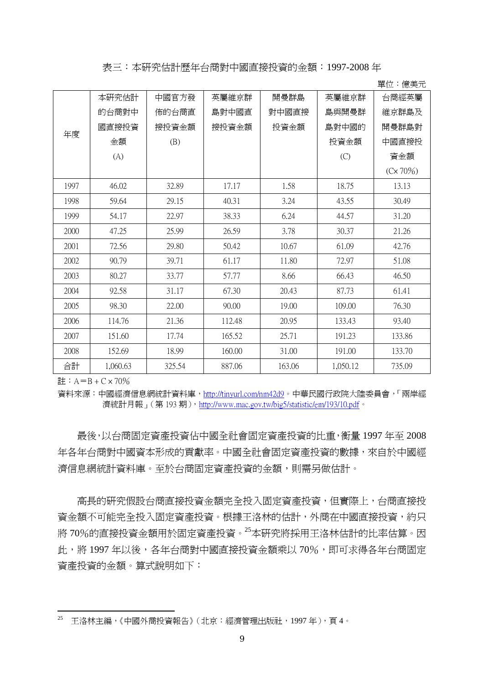表三:本研究估計歷年台商對中國直接投資的金額:1997-2008 年

|      |          |        |        |        |          | 半世・昼大ル   |
|------|----------|--------|--------|--------|----------|----------|
|      | 本研究估計    | 中國官方發  | 英屬維京群  | 開曼群島   | 英屬維京群    | 台商經英屬    |
|      | 的台商對中    | 佈的台商直  | 島對中國直  | 對中國直接  | 島與開曼群    | 維京群島及    |
| 年度   | 國直接投資    | 接投資金額  | 接投資金額  | 投資金額   | 島對中國的    | 開曼群島對    |
|      | 金額       | (B)    |        |        | 投資金額     | 中國直接投    |
|      | (A)      |        |        |        | (C)      | 資金額      |
|      |          |        |        |        |          | (Cx 70%) |
| 1997 | 46.02    | 32.89  | 17.17  | 1.58   | 18.75    | 13.13    |
| 1998 | 59.64    | 29.15  | 40.31  | 3.24   | 43.55    | 30.49    |
| 1999 | 54.17    | 22.97  | 38.33  | 6.24   | 44.57    | 31.20    |
| 2000 | 47.25    | 25.99  | 26.59  | 3.78   | 30.37    | 21.26    |
| 2001 | 72.56    | 29.80  | 50.42  | 10.67  | 61.09    | 42.76    |
| 2002 | 90.79    | 39.71  | 61.17  | 11.80  | 72.97    | 51.08    |
| 2003 | 80.27    | 33.77  | 57.77  | 8.66   | 66.43    | 46.50    |
| 2004 | 92.58    | 31.17  | 67.30  | 20.43  | 87.73    | 61.41    |
| 2005 | 98.30    | 22.00  | 90.00  | 19.00  | 109.00   | 76.30    |
| 2006 | 114.76   | 21.36  | 112.48 | 20.95  | 133.43   | 93.40    |
| 2007 | 151.60   | 17.74  | 165.52 | 25.71  | 191.23   | 133.86   |
| 2008 | 152.69   | 18.99  | 160.00 | 31.00  | 191.00   | 133.70   |
| 合計   | 1,060.63 | 325.54 | 887.06 | 163.06 | 1,050.12 | 735.09   |

單位:億美元

 $\# : A = B + C \times 70\%$ 

資料來源:中國經濟信息網統計資料庫,http://tinyurl.com/nm42d9。中華民國行政院大陸委員會,「兩岸經 濟統計月報」(第193期),http://www.mac.gov.tw/big5/statistic/em/193/10.pdf。

 最後,以台商固定資產投資佔中國全社會固定資產投資的比重,衡量 1997 年至 2008 年各年台商對中國資本形成的貢獻率。中國全社會固定資產投資的數據,來自於中國經 濟信息網統計資料庫。至於台商固定資產投資的金額,則需另做估計。

高長的研究假設台商直接投資金額完全投入固定資產投資,但實際上,台商直接投 資金額不可能完全投入固定資產投資。根據王洛林的估計,外商在中國直接投資,約只 將 70%的直接投資金額用於固定資產投資。<sup>25</sup>本研究將採用王洛林估計的比率估算。因 此,將 1997年以後,各年台商對中國直接投資金額乘以 70%,即可求得各年台商固定 資產投資的金額。算式說明如下:

<sup>25</sup> 王洛林主編,《中國外商投資報告》(北京:經濟管理出版社,1997 年),頁 4。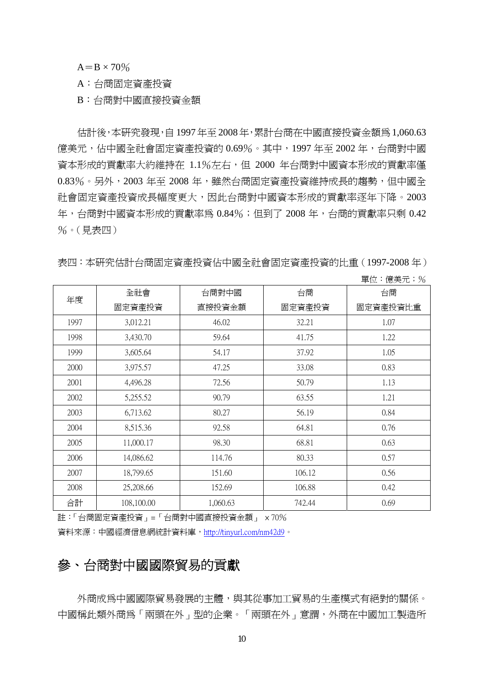$A=B \times 70\%$ 

A:台商固定資產投資

B:台商對中國直接投資金額

 估計後,本研究發現,自1997年至2008年,累計台商在中國直接投資金額為1,060.63 億美元,佔中國全社會固定資產投資的 0.69%。其中,1997 年至 2002 年,台商對中國 資本形成的貢獻率大約維持在 1.1%左右,但 2000 年台商對中國資本形成的貢獻率僅 0.83%。另外,2003 年至 2008 年,雖然台商固定資產投資維持成長的趨勢,但中國全 社會固定資產投資成長幅度更大,因此台商對中國資本形成的貢獻率逐年下降。2003 年,台商對中國資本形成的貢獻率為 0.84%; 但到了 2008 年,台商的貢獻率只剩 0.42 %。(見表四)

表四:本研究估計台商固定資產投資佔中國全社會固定資產投資的比重(1997-2008 年)

| 年度   | 全社會        | 台商對中國    | 台商     | 台商       |
|------|------------|----------|--------|----------|
|      | 固定資產投資     | 直接投資金額   | 固定資產投資 | 固定資產投資比重 |
| 1997 | 3,012.21   | 46.02    | 32.21  | 1.07     |
| 1998 | 3,430.70   | 59.64    | 41.75  | 1.22     |
| 1999 | 3,605.64   | 54.17    | 37.92  | 1.05     |
| 2000 | 3,975.57   | 47.25    | 33.08  | 0.83     |
| 2001 | 4,496.28   | 72.56    | 50.79  | 1.13     |
| 2002 | 5,255.52   | 90.79    | 63.55  | 1.21     |
| 2003 | 6,713.62   | 80.27    | 56.19  | 0.84     |
| 2004 | 8,515.36   | 92.58    | 64.81  | 0.76     |
| 2005 | 11,000.17  | 98.30    | 68.81  | 0.63     |
| 2006 | 14,086.62  | 114.76   | 80.33  | 0.57     |
| 2007 | 18,799.65  | 151.60   | 106.12 | 0.56     |
| 2008 | 25,208.66  | 152.69   | 106.88 | 0.42     |
| 合計   | 108,100.00 | 1,060.63 | 742.44 | 0.69     |

單位:億美元;%

註:「台商固定資產投資」=「台商對中國直接投資金額」 × 70%

資料來源:中國經濟信息網統計資料庫,http://tinyurl.com/nm42d9。

### 參、台商對中國國際貿易的貢獻

外商成為中國國際貿易發展的主體,與其從事加工貿易的生產模式有絕對的關係。 中國稱此類外商為「兩頭在外」型的企業。「兩頭在外」意謂,外商在中國加工製造所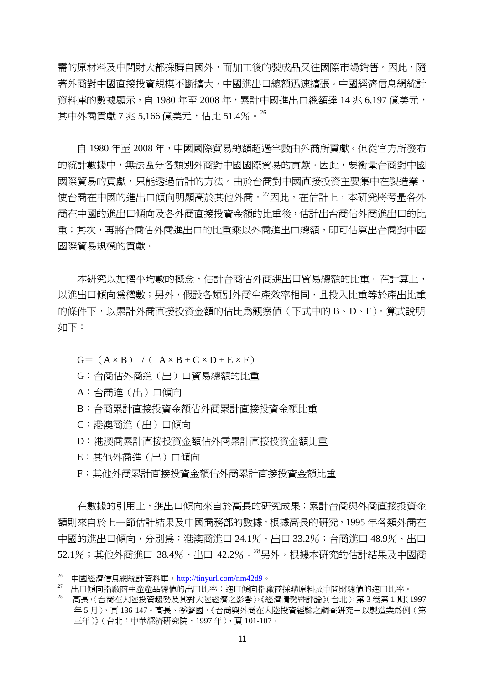需的原材料及中間財大都採購自國外,而加工後的製成品又往國際市場銷售。因此,隨 著外商對中國直接投資規模不斷擴大,中國進出口總額迅速擴張。中國經濟信息網統計 資料庫的數據顯示,自 1980 年至 2008 年,累計中國進出口總額達 14 兆 6,197 億美元, 其中外商貢獻 7 兆 5.166 億美元, 佔比 51.4%。 $^{26}$ 

 自 1980 年至 2008 年,中國國際貿易總額超過半數由外商所貢獻。但從官方所發布 的統計數據中,無法區分各類別外商對中國國際貿易的貢獻。因此,要衡量台商對中國 國際貿易的貢獻,只能透過估計的方法。由於台商對中國直接投資主要集中在製造業, 使台商在中國的進出口傾向明顯高於其他外商。<sup>27</sup>因此,在估計上,本研究將考量各外 商在中國的進出口傾向及各外商直接投資金額的比重後,估計出台商佔外商進出口的比 重;其次,再將台商佔外商進出口的比重乘以外商進出口總額,即可估算出台商對中國 國際貿易規模的貢獻。

本研究以加權平均數的概念,估計台商佔外商進出口貿易總額的比重。在計算上, 以進出口傾向為權數;另外,假設各類別外商生產效率相同,且投入比重等於產出比重 的條件下,以累計外商直接投資金額的佔比為觀察值(下式中的 B、D、F)。算式說明 如下:

 $G= (A \times B)$  /(  $A \times B + C \times D + E \times F$ )

- G:台商佔外商進(出)口貿易總額的比重
- A:台商進(出)口傾向
- B:台商累計直接投資金額佔外商累計直接投資金額比重
- C:港澳商進(出)口傾向
- D:港澳商累計直接投資金額佔外商累計直接投資金額比重
- E:其他外商進(出)口傾向

F:其他外商累計直接投資金額佔外商累計直接投資金額比重

 在數據的引用上,進出口傾向來自於高長的研究成果;累計台商與外商直接投資金 額則來自於上一節估計結果及中國商務部的數據。根據高長的研究,1995 年各類外商在 中國的進出口傾向,分別為:港澳商進口 24.1%、出口 33.2%;台商進口 48.9%、出口 52.1%; 其他外商淮口 38.4%、出口 42.2%。<sup>28</sup>另外,根據本研究的估計結果及中國商

<sup>&</sup>lt;sup>26</sup> 中國經濟信息網統計資料庫,http://tinyurl.com/nm42d9。

<sup>27</sup> 出口傾向指廠商生產產品總值的出口比率;進口傾向指廠商採購原料及中間財總值的進口比率。

<sup>28</sup> 高長,〈台商在大陸投資趨勢及其對大陸經濟之影響〉,《經濟情勢暨評論》(台北),第 3 卷第 1 期(1997 年5月),頁136-147。高長、季聲國,《台商與外商在大陸投資經驗之調查研究-以製造業為例(第 三年)》(台北:中華經濟研究院,1997 年),頁 101-107。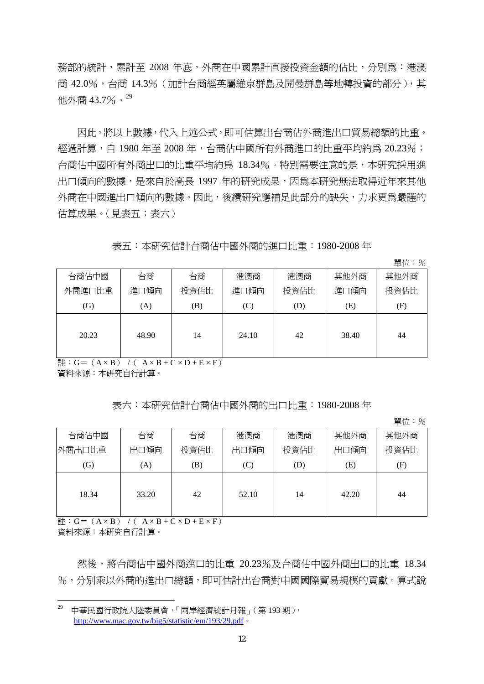務部的統計,累計至 2008 年底,外商在中國累計直接投資金額的佔比,分別為:港澳 商 42.0%,台商 14.3% (加計台商經英屬維京群島及開曼群島等地轉投資的部分),其 他外商 43.7%。29

因此,將以上數據,代入上述公式,即可估算出台商佔外商進出口貿易總額的比重。 經過計算,自 1980年至 2008年,台商佔中國所有外商進口的比重平均約為 20.23%; 台商佔中國所有外商出口的比重平均約為 18.34%。特別需要注意的是,本研究採用淮 出口傾向的數據,是來自於高長 1997 年的研究成果,因為本研究無法取得近年來其他 外商在中國進出口傾向的數據。因此,後續研究應補足此部分的缺失,力求更為嚴謹的 估算成果。(見表五;表六)

表五:本研究估計台商佔中國外商的進口比重:1980-2008 年

單位:%

|        |       |      |       |      |       | $\overline{1}$<br>$\sim$ |
|--------|-------|------|-------|------|-------|--------------------------|
| 台商佔中國  | 台商    | 台商   | 港澳商   | 港澳商  | 其他外商  | 其他外商                     |
| 外商進口比重 | 進口傾向  | 投資佔比 | 進口傾向  | 投資佔比 | 進口傾向  | 投資佔比                     |
| (G)    | (A)   | (B)  | (C)   | (D)  | (E)   | (F)                      |
| 20.23  | 48.90 | 14   | 24.10 | 42   | 38.40 | 44                       |

 $\exists \vdots G = (A \times B)$  /( $A \times B + C \times D + E \times F$ )

資料來源:本研究自行計算。

表六:本研究估計台商佔中國外商的出口比重:1980-2008 年

單位:%

| 台商佔中國  | 台商    | 台商   | 港澳商   | 港澳商  | 其他外商  | 其他外商 |
|--------|-------|------|-------|------|-------|------|
| 外商出口比重 | 出口傾向  | 投資佔比 | 出口傾向  | 投資佔比 | 出口傾向  | 投資佔比 |
| (G)    | (A)   | (B)  | (C)   | (D)  | Œ)    | (F)  |
| 18.34  | 33.20 | 42   | 52.10 | 14   | 42.20 | 44   |

 $\overrightarrow{a}$  : G = (A × B) /(A × B + C × D + E × F)

資料來源:本研究自行計算。

 然後,將台商佔中國外商進口的比重 20.23%及台商佔中國外商出口的比重 18.34 %,分別乘以外商的進出口總額,即可估計出台商對中國國際貿易規模的貢獻。算式說

 29 中華民國行政院大陸委員會,「兩岸經濟統計月報」(第 193 期), http://www.mac.gov.tw/big5/statistic/em/193/29.pdf。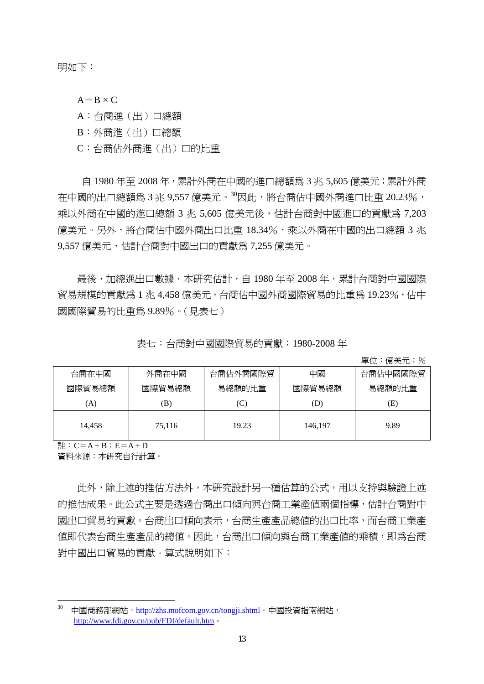明如下:

 $A=B \times C$ 

A:台商進(出)口總額

B:外商進(出)口總額

C:台商佔外商進(出)口的比重

自 1980 年至 2008 年,累計外商在中國的進口總額為 3 兆 5,605 億美元;累計外商 在中國的出口總額為 3 兆 9,557 億美元。<sup>30</sup>因此,將台商佔中國外商進口比重 20.23%, 乘以外商在中國的進口總額 3 兆 5,605 億美元後,估計台商對中國進口的貢獻為 7,203 億美元。另外,將台商佔中國外商出口比重 18.34%,乘以外商在中國的出口總額 3 兆 9,557 億美元,估計台商對中國出口的貢獻為 7,255 億美元。

 最後,加總進出口數據,本研究估計,自 1980 年至 2008 年,累計台商對中國國際 貿易規模的貢獻為 1 兆 4,458 億美元,台商佔中國外商國際貿易的比重為 19.23%,佔中 國國際貿易的比重為 9.89%。(見表七)

表七:台商對中國國際貿易的貢獻:1980-2008 年

單位:億美元;%

| 台商在中國  | 外商在中國  | 台商佔外商國際貿 | 中國      | 台商佔中國國際貿 |
|--------|--------|----------|---------|----------|
| 國際貿易總額 | 國際貿易總額 | 易總額的比重   | 國際貿易總額  | 易總額的比重   |
| (A)    | B)     | C)       | (D)     | Έ)       |
| 14.458 | 75,116 | 19.23    | 146,197 | 9.89     |

 $E : C = A \div B : E = A \div D$ 

資料來源:本研究自行計算。

此外,除上述的推估方法外,本研究設計另一種估算的公式,用以支持與驗證上述 的推估成果。此公式主要是透過台商出口傾向與台商工業產值兩個指標,估計台商對中 國出口貿易的貢獻。台商出口傾向表示,台商生產產品總值的出口比率,而台商工業產 值即代表台商生產產品的總值。因此,台商出口傾向與台商工業產值的乘積,即為台商 對中國出口貿易的貢獻。算式說明如下:

<sup>30</sup> 中國商務部網站,http://zhs.mofcom.gov.cn/tongji.shtml。中國投資指南網站, http://www.fdi.gov.cn/pub/FDI/default.htm。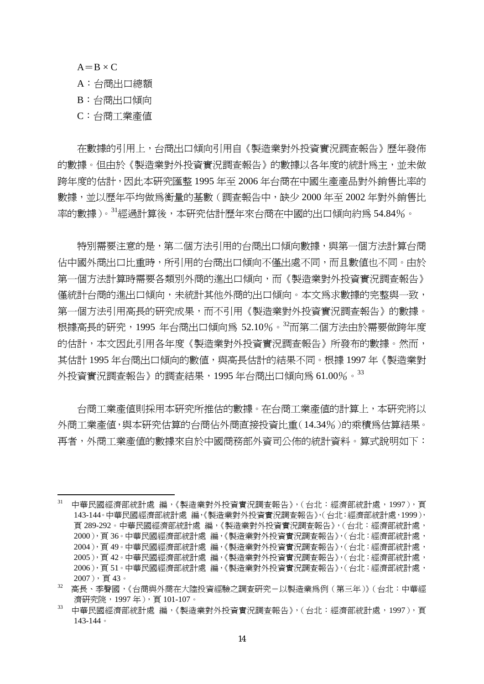$A=B \times C$ 

- A:台商出口總額
- B:台商出口傾向
- C:台商工業產值

 在數據的引用上,台商出口傾向引用自《製造業對外投資實況調查報告》歷年發佈 的數據。但由於《製浩業對外投資實況調查報告》的數據以各年度的統計為主,並未做 跨年度的估計,因此本研究匯整 1995 年至 2006 年台商在中國生產產品對外銷售比率的 數據,並以歷年平均做為衡量的基數(調查報告中,缺少 2000 年至 2002 年對外銷售比 率的數據)。<sup>31</sup>經過計算後,本研究估計歷年來台商在中國的出口傾向約為 54.84%。

特別需要注意的是,第二個方法引用的台商出口傾向數據,與第一個方法計算台商 佔中國外商出口比重時,所引用的台商出口傾向不僅出處不同,而且數值也不同。由於 第一個方法計算時需要各類別外商的進出口傾向,而《製造業對外投資實況調查報告》 僅統計台商的進出口傾向,未統計其他外商的出口傾向。本文為求數據的完整與一致, 第一個方法引用高長的研究成果,而不引用《製造業對外投資實況調杳報告》的數據。 根據高長的研究,1995 年台商出口傾向為 52.10%。<sup>32</sup>而第二個方法由於需要做跨年度 的估計,本文因此引用各年度《製浩業對外投資實況調杳報告》所發布的數據。然而, 其估計 1995年台商出口傾向的數值,與高長估計的結果不同。根據 1997年《製浩業對 外投資實況調查報告》的調查結果,1995年台商出口傾向為 61.00%。33

台商工業產值則採用本研究所推估的數據。在台商工業產值的計算上,本研究將以 外商工業產值,與本研究估算的台商佔外商直接投資比重(14.34%)的乘積為估算結果。 再者,外商工業產值的數據來自於中國商務部外資司公佈的統計資料。算式說明如下:

中華民國經濟部統計處 編,《製造業對外投資實況調查報告》,(台北:經濟部統計處,1997),頁 143-144。中華民國經濟部統計處 編,《製造業對外投資實況調查報告》,(台北:經濟部統計處,1999), 頁 289-292。中華民國經濟部統計處 編,《製造業對外投資實況調查報告》,(台北:經濟部統計處, 2000),頁 36。中華民國經濟部統計處 編,《製造業對外投資實況調查報告》,(台北:經濟部統計處, 2004),頁 49。中華民國經濟部統計處 編,《製造業對外投資實況調查報告》,(台北:經濟部統計處, 2005),頁 42。中華民國經濟部統計處 編,《製造業對外投資實況調查報告》,(台北:經濟部統計處, 2006),頁 51。中華民國經濟部統計處 編,《製造業對外投資實況調查報告》,(台北:經濟部統計處,  $2007)$ , 百43。

<sup>32</sup> 高長、季聲國,《台商與外商在大陸投資經驗之調查研究-以製造業為例(第三年)》(台北:中華經 濟研究院,1997 年),頁 101-107。

<sup>33</sup> 中華民國經濟部統計處 編,《製造業對外投資實況調查報告》,(台北:經濟部統計處,1997),頁 143-144。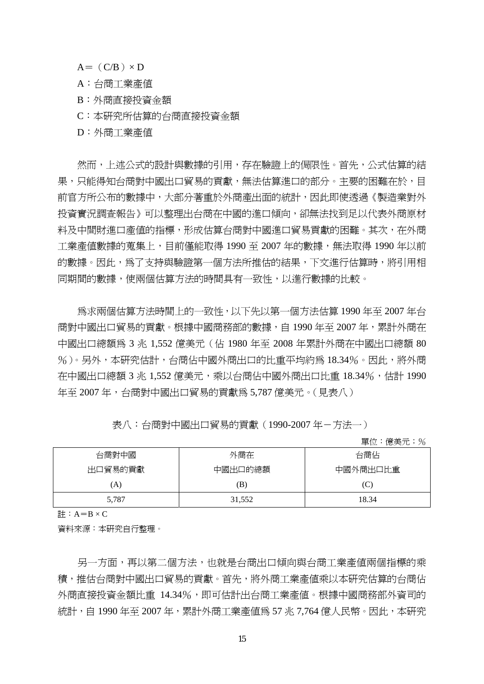$A=$  (C/B)  $\times$  D

A:台商工業產值

B:外商直接投資金額

C:本研究所估算的台商直接投資金額

D:外商工業產值

 然而,上述公式的設計與數據的引用,存在驗證上的侷限性。首先,公式估算的結 果,只能得知台商對中國出口貿易的貢獻,無法估算進口的部分。主要的困難在於,目 前官方所公布的數據中,大部分著重於外商產出面的統計,因此即使透過《製造業對外 投資實況調查報告》可以整理出台商在中國的進口傾向,卻無法找到足以代表外商原材 料及中間財進口產值的指標,形成估算台商對中國進口貿易貢獻的困難。其次,在外商 工業產值數據的蒐集上,目前僅能取得 1990 至 2007 年的數據,無法取得 1990 年以前 的數據。因此,為了支持與驗證第一個方法所推估的結果,下文進行估算時,將引用相 同期間的數據,使兩個估算方法的時間具有一致性,以進行數據的比較。

 為求兩個估算方法時間上的一致性,以下先以第一個方法估算 1990 年至 2007 年台 商對中國出口貿易的貢獻。根據中國商務部的數據,自 1990 年至 2007 年,累計外商在 中國出口總額為 3 兆 1,552 億美元(佔 1980 年至 2008 年累計外商在中國出口總額 80 %)。另外,本研究估計,台商佔中國外商出口的比重平均約為 18.34%。因此,將外商 在中國出口總額 3 兆 1,552 億美元,乘以台商佔中國外商出口比重 18.34%,估計 1990 年至 2007年,台商對中國出口留易的貢獻為 5.787 億美元。(見表八)

| 表八:台商對中國出口貿易的貢獻(1990-2007年-方法一) |  |
|---------------------------------|--|
|---------------------------------|--|

單位:億美元;%

| 台商對中國   | 外商在     |          |
|---------|---------|----------|
| 出口貿易的貢獻 | 中國出口的總額 | 中國外商出口比重 |
| (A)     | B)      | (C)      |
| 5,787   | 31,552  | 18.34    |

計:  $A=B \times C$ 

資料來源:本研究自行整理。

另一方面,再以第二個方法,也就是台商出口傾向與台商工業產值兩個指標的乘 積,推估台商對中國出口貿易的貢獻。首先,將外商工業產值乘以本研究估算的台商佔 外商直接投資金額比重 14.34%,即可估計出台商工業產值。根據中國商務部外資司的 統計,自 1990 年至 2007 年,累計外商工業產值為 57 兆 7.764 億人民幣。因此,本研究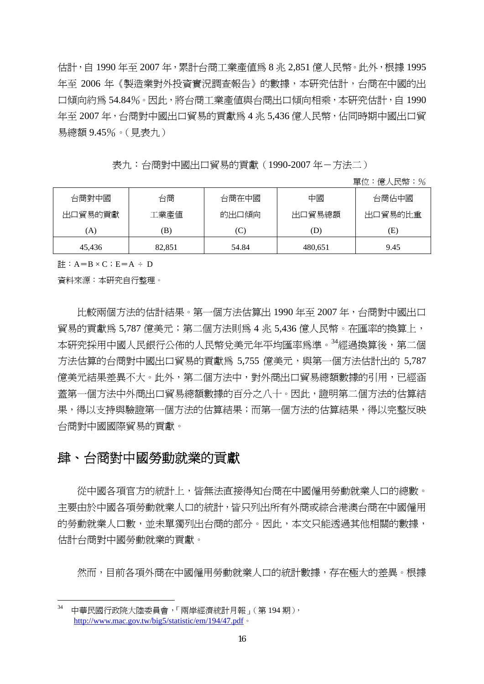估計,自 1990 年至 2007 年,累計台商工業產值為 8 兆 2,851 億人民幣。此外,根據 1995 年至 2006 年《製造業對外投資實況調查報告》的數據,本研究估計,台商在中國的出 口傾向約為 54.84%。因此,將台商工業產值與台商出口傾向相乘,本研究估計,自 1990 年至 2007 年,台商對中國出口貿易的貢獻為 4 兆 5,436 億人民幣,佔同時期中國出口貿 易總額 9.45%。(見表九)

表九:台商對中國出口貿易的貢獻 (1990-2007年-方法二)

單位:億人民幣;%

| 台商對中國   | 台商     | 台商在中國 | 中國      | 台商佔中國   |
|---------|--------|-------|---------|---------|
| 出口貿易的貢獻 | 工業產值   | 的出口傾向 | 出口貿易總額  | 出口貿易的比重 |
| A)      | B)     | ا ب   | (D)     | E)      |
| 45.436  | 82.851 | 54.84 | 480.651 | 9.45    |

 $H : A=B \times C : E=A \div D$ 

資料來源:本研究自行整理。

 比較兩個方法的估計結果。第一個方法估算出 1990 年至 2007 年,台商對中國出口 貿易的貢獻為 5,787 億美元;第二個方法則為 4 兆 5,436 億人民幣。在匯率的換算上, 本研究採用中國人民銀行公佈的人民幣兌美元年平均匯率為進。<sup>34</sup>經過換算後,第二個 方法估算的台商對中國出口貿易的貢獻為 5,755 億美元,與第一個方法估計出的 5,787 億美元結果差異不大。此外,第二個方法中,對外商出口貿易總額數據的引用,已經涵 蓋第一個方法中外商出口貿易總額數據的百分之八十。因此,證明第二個方法的估算結 果,得以支持與驗證第一個方法的估算結果;而第一個方法的估算結果,得以完整反映 台商對中國國際貿易的貢獻。

### 肆、台商對中國勞動就業的貢獻

 從中國各項官方的統計上,皆無法直接得知台商在中國僱用勞動就業人口的總數。 主要由於中國各項勞動就業人口的統計,皆只列出所有外商或綜合港澳台商在中國僱用 的勞動就業人口數,並未單獨列出台商的部分。因此,本文只能透過其他相關的數據, 估計台商對中國勞動就業的貢獻。

然而,目前各項外商在中國僱用勞動就業人口的統計數據,存在極大的差異。根據

<sup>34</sup> 中華民國行政院大陸委員會,「兩岸經濟統計月報」(第 194 期), http://www.mac.gov.tw/big5/statistic/em/194/47.pdf。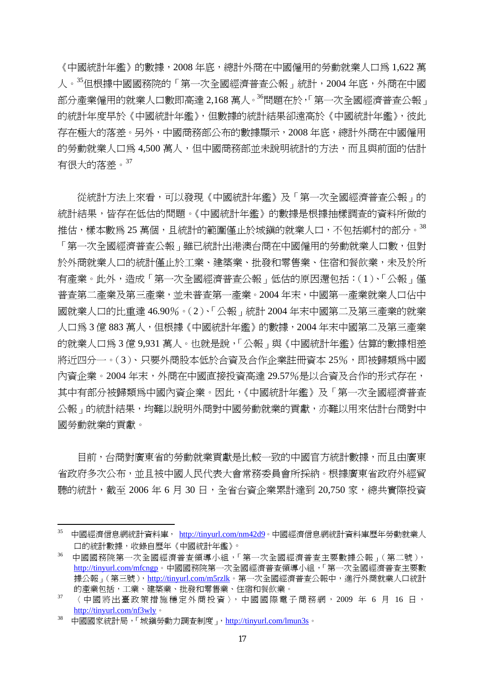《中國統計年鑑》的數據,2008 年底,總計外商在中國僱用的勞動就業人口為 1,622 萬 人。35但根據中國國務院的「第一次全國經濟普查公報」統計,2004年底,外商在中國 部分產業僱用的就業人口數即高達 2,168 萬人。<sup>36</sup>問題在於,「第一次全國經濟普查公報」 的統計年度早於《中國統計年鑑》,但數據的統計結果卻遠高於《中國統計年鑑》,彼此 存在極大的落差。另外,中國商務部公布的數據顯示,2008 年底,總計外商在中國僱用 的勞動就業人口為 4,500 萬人,但中國商務部並未說明統計的方法,而且與前面的估計 有很大的落差。<sup>37</sup>

 從統計方法上來看,可以發現《中國統計年鑑》及「第一次全國經濟普查公報」的 統計結果,皆存在低估的問題。《中國統計年鑑》的數據是根據抽樣調查的資料所做的 推估,樣本數為 25 萬個,且統計的範圍僅止於城鎮的就業人口,不包括鄉村的部分。38 「第一次全國經濟普查公報」雖已統計出港澳台商在中國僱用的勞動就業人口數,但對 於外商就業人口的統計僅止於工業、建築業、批發和零售業、住宿和餐飲業,未及於所 有產業。此外,造成「第一次全國經濟普查公報」低估的原因還包括:(1)、「公報」僅 普查第二產業及第三產業,並未普查第一產業。2004 年末,中國第一產業就業人口佔中 國就業人口的比重達 46.90%。(2)、「公報」統計 2004 年末中國第二及第三產業的就業 人口為 3 億 883 萬人,但根據《中國統計年鑑》的數據,2004 年末中國第二及第三產業 的就業人口為 3 億 9,931 萬人。也就是說,「公報」與《中國統計年鑑》估算的數據相差 將沂四分一。(3)、只要外商股本低於合資及合作企業註冊資本 25%,即被歸類爲中國 內資企業。2004 年末,外商在中國直接投資高達 29.57%是以合資及合作的形式存在, 其中有部分被歸類為中國內資企業。因此,《中國統計年鑑》及「第一次全國經濟普查 公報」的統計結果,均難以說明外商對中國勞動就業的貢獻,亦難以用來估計台商對中 國勞動就業的貢獻。

 目前,台商對廣東省的勞動就業貢獻是比較一致的中國官方統計數據,而且由廣東 省政府多次公布,並且被中國人民代表大會常務委員會所採納。根據廣東省政府外經貿 聽的統計,截至 2006年6月 30日,全省台資企業累計達到 20,750 家,總共實際投資

<sup>35</sup> 中國經濟信息網統計資料庫, http://tinyurl.com/nm42d9。中國經濟信息網統計資料庫歷年勞動就業人 口的統計數據,收錄自歷年《中國統計年鑑》。

<sup>36</sup> 中國國務院第一次全國經濟普查領導小組,「第一次全國經濟普查主要數據公報」(第二號), http://tinyurl.com/mfcngp。中國國務院第一次全國經濟普查領導小組,「第一次全國經濟普查主要數 據公報」(第三號),http://tinyurl.com/m5rzlk。第一次全國經濟普查公報中,進行外商就業人口統計 的產業包括,工業、建築業、批發和零售業、住宿和餐飲業。

 $37$  〈中國將出臺政策措施穩定外商投資〉,中國國際電子商務網, 2009 年 6 月 16 日, http://tinyurl.com/nf3wly。<br><sup>38</sup> 中國國家統計局,「城鎮勞動力調查制度」, http://tinyurl.com/lmun3s。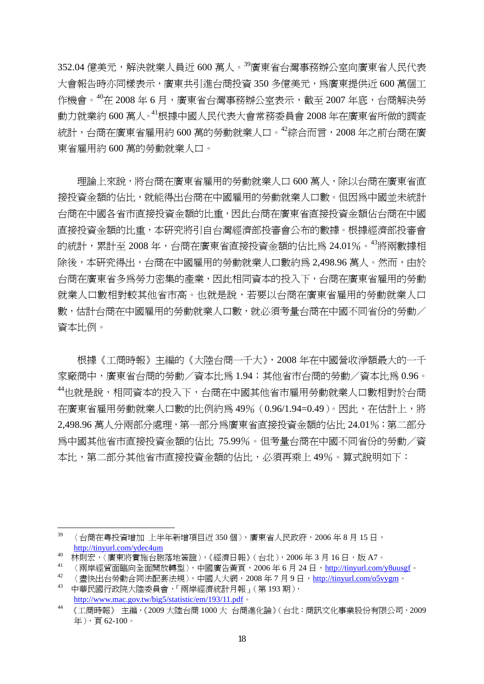352.04 億美元,解決就業人員近 600 萬人。<sup>39</sup>廣東省台灣事務辦公室向廣東省人民代表 大會報告時亦同樣表示,廣東共引進台商投資 350 多億美元,爲廣東提供近 600 萬個工 作機會。 $^{40}$ 在 2008 年 6 月,廣東省台灣事務辦公室表示,截至 2007 年底,台商解決勞 動力就業約 600 萬人。<sup>41</sup>根據中國人民代表大會常務委員會 2008 年在廣東省所做的調查 統計,台商在廣東省雇用約 600 萬的勞動就業人口。<sup>42</sup>綜合而言,2008 年之前台商在廣 東省雇用約 600 萬的勞動就業人口。

理論上來說,將台商在廣東省雇用的勞動就業人口 600 萬人,除以台商在廣東省直 接投資金額的佔比,就能得出台商在中國雇用的勞動就業人口數。但因為中國並未統計 台商在中國各省市直接投資金額的比重,因此台商在廣東省直接投資金額佔台商在中國 直接投資金額的比重,本研究將引自台灣經濟部投審會公布的數據。根據經濟部投審會 的統計,累計至 2008 年,台商在廣東省直接投資金額的佔比為 24.01%。<sup>43</sup>將兩數據相 除後,本研究得出,台商在中國雇用的勞動就業人口數約爲 2,498.96 萬人。然而,由於 台商在廣東省多為勞力密集的產業,因此相同資本的投入下,台商在廣東省雇用的勞動 就業人口數相對較其他省市高。也就是說,若要以台商在廣東省雇用的勞動就業人口 數,估計台商在中國雇用的勞動就業人口數,就必須考量台商在中國不同省份的勞動/ 資本比例。

 根據《工商時報》主編的《大陸台商一千大》,2008 年在中國營收淨額最大的一千 家廠商中,廣東省台商的勞動/資本比為 1.94;其他省市台商的勞動/資本比為 0.96。 <sup>44</sup>也就是說,相同資本的投入下,台商在中國其他省市雇用勞動就業人口數相對於台商 在廣東省雇用勞動就業人口數的比例約為 49%(0.96/1.94=0.49)。因此,在估計上,將 2,498.96 萬人分兩部分處理,第一部分為廣東省直接投資金額的佔比 24.01%;第二部分 為中國其他省市直接投資金額的佔比 75.99%。但考量台商在中國不同省份的勞動/資 本比,第二部分其他省市直接投資金額的佔比,必須再乘上 49%。算式說明如下:

<sup>39 〈</sup>台商在粤投資增加 上半年新增項目近 350個〉, 廣東省人民政府, 2006年8月15日, http://tinyurl.com/ydec4um

 $\frac{10}{40}$  林則宏,〈廣東將實施台胞落地簽證〉,《經濟日報》(台北), 2006年3月16日,版 A7。

 $\frac{41}{42}$  〈兩岸經貿面臨向全面開放轉型〉,中國廣告黃頁, 2006年6月24日, http://tinyurl.com/y8uusgf。

<sup>42</sup> 〈盡快出台勞動合同法配套法規〉,中國人大網,2008 年 7 月 9 日,http://tinyurl.com/o5vygm。

<sup>43</sup> 中華民國行政院大陸委員會,「兩岸經濟統計月報」(第 193 期), http://www.mac.gov.tw/big5/statistic/em/193/11.pdf。

<sup>44</sup> 《工商時報》 主編,《2009 大陸台商 1000 大 台商進化論》(台北:商訊文化事業股份有限公司,2009 年),頁 62-100。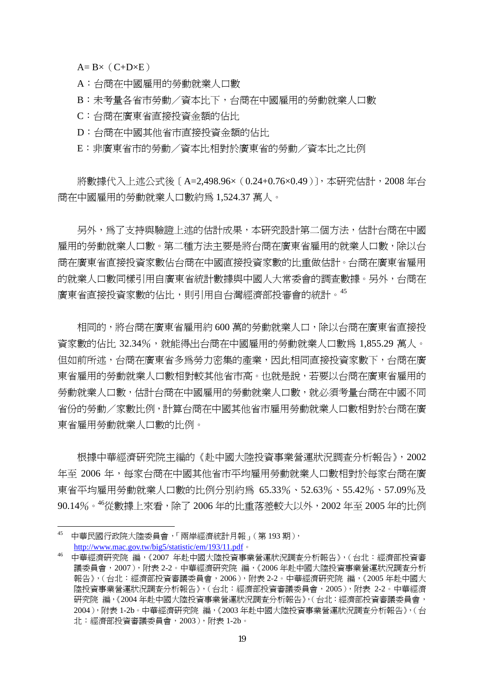$A= B \times (C+D \times E)$ 

A:台商在中國雇用的勞動就業人口數

B:未考量各省市勞動/資本比下,台商在中國雇用的勞動就業人口數

C:台商在廣東省直接投資金額的佔比

D:台商在中國其他省市直接投資金額的佔比

E:非廣東省市的勞動/資本比相對於廣東省的勞動/資本比之比例

將數據代入上述公式後 〔 A=2,498.96× ( 0.24+0.76×0.49 ) ],本研究估計,2008 年台 商在中國雇用的勞動就業人口數約為 1,524.37 萬人。

另外,為了支持與驗證上述的估計成果,本研究設計第二個方法,估計台商在中國 雇用的勞動就業人口數。第二種方法主要是將台商在廣東省雇用的就業人口數,除以台 商在廣東省直接投資家數佔台商在中國直接投資家數的比重做估計。台商在廣東省雇用 的就業人口數同樣引用自廣東省統計數據與中國人大常委會的調查數據。另外,台商在 廣東省直接投資家數的佔比,則引用自台灣經濟部投審會的統計。45

相同的,將台商在廣東省雇用約 600 萬的勞動就業人口,除以台商在廣東省直接投 資家數的佔比 32.34%,就能得出台商在中國雇用的勞動就業人口數為 1,855.29 萬人。 但如前所述,台商在廣東省多為勞力密集的產業,因此相同直接投資家數下,台商在廣 東省雇用的勞動就業人口數相對較其他省市高。也就是說,若要以台商在廣東省雇用的 勞動就業人口數,估計台商在中國雇用的勞動就業人口數,就必須考量台商在中國不同 省份的勞動/家數比例,計算台商在中國其他省市雇用勞動就業人口數相對於台商在廣 東省雇用勞動就業人口數的比例。

 根據中華經濟研究院主編的《赴中國大陸投資事業營運狀況調查分析報告》,2002 年至 2006 年,每家台商在中國其他省市平均雇用勞動就業人口數相對於每家台商在廣 東省平均雇用勞動就業人口數的比例分別約為 65.33%、52.63%、55.42%、57.09%及 90.14%。<sup>46</sup>從數據上來看,除了 2006 年的比重落差較大以外,2002 年至 2005 年的比例

<sup>45</sup> 中華民國行政院大陸委員會,「兩岸經濟統計月報」(第 193 期), http://www.mac.gov.tw/big5/statistic/em/193/11.pdf。

<sup>46</sup> 中華經濟研究院 編,《2007 年赴中國大陸投資事業營運狀況調查分析報告》,(台北:經濟部投資審 議委員會,2007),附表 2-2。中華經濟研究院 編,《2006 年赴中國大陸投資事業營運狀況調查分析 報告》,(台北:經濟部投資審議委員會,2006),附表 2-2。中華經濟研究院 編,《2005 年赴中國大 陸投資事業營運狀況調查分析報告》,(台北:經濟部投資審議委員會,2005),附表 2-2。中華經濟 研究院 編,《2004 年赴中國大陸投資事業營運狀況調查分析報告》,(台北:經濟部投資審議委員會, 2004),附表 1-2b。中華經濟研究院 編,《2003 年赴中國大陸投資事業營運狀況調查分析報告》,(台 北:經濟部投資審議委員會,2003),附表 1-2b。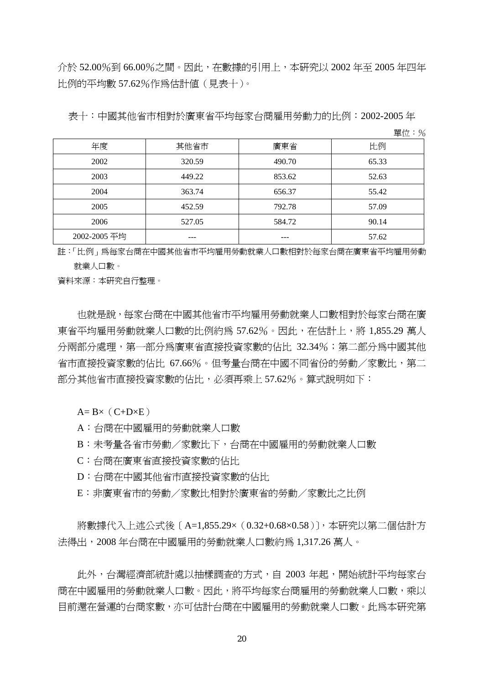介於 52.00%到 66.00%之間。因此,在數據的引用上,本研究以 2002 年至 2005 年四年 比例的平均數 57.62%作為估計值(見表十)。

單位:%

| 年度           | 其他省市   | 廣東省    | 比例    |
|--------------|--------|--------|-------|
| 2002         | 320.59 | 490.70 | 65.33 |
| 2003         | 449.22 | 853.62 | 52.63 |
| 2004         | 363.74 | 656.37 | 55.42 |
| 2005         | 452.59 | 792.78 | 57.09 |
| 2006         | 527.05 | 584.72 | 90.14 |
| 2002-2005 平均 |        |        | 57.62 |

註:「比例」為每家台商在中國其他省市平均雇用勞動就業人口數相對於每家台商在廣東省平均雇用勞動 就業人口數。

資料來源:本研究自行整理。

也就是說,每家台商在中國其他省市平均雇用勞動就業人口數相對於每家台商在廣 東省平均雇用勞動就業人口數的比例約為 57.62%。因此,在估計上,將 1,855.29 萬人 分兩部分處理,第一部分為廣東省直接投資家數的佔比 32.34%;第二部分為中國其他 省市直接投資家數的佔比 67.66%。但考量台商在中國不同省份的勞動/家數比,第二 部分其他省市直接投資家數的佔比,必須再乘上 57.62%。算式說明如下:

 $A= B \times (C+D \times E)$ 

A:台商在中國雇用的勞動就業人口數

B:未考量各省市勞動/家數比下,台商在中國雇用的勞動就業人口數

C:台商在廣東省直接投資家數的佔比

D:台商在中國其他省市直接投資家數的佔比

E:非廣東省市的勞動/家數比相對於廣東省的勞動/家數比之比例

將數據代入上述公式後 〔 A=1,855.29× (0.32+0.68×0.58 )〕,本研究以第二個估計方 法得出,2008 年台商在中國雇用的勞動就業人口數約為 1,317.26 萬人。

 此外,台灣經濟部統計處以抽樣調查的方式,自 2003 年起,開始統計平均每家台 商在中國雇用的勞動就業人口數。因此,將平均每家台商雇用的勞動就業人口數,乘以 目前還在營運的台商家數,亦可估計台商在中國雇用的勞動就業人口數。此為本研究第

表十:中國其他省市相對於廣東省平均每家台商雇用勞動力的比例:2002-2005 年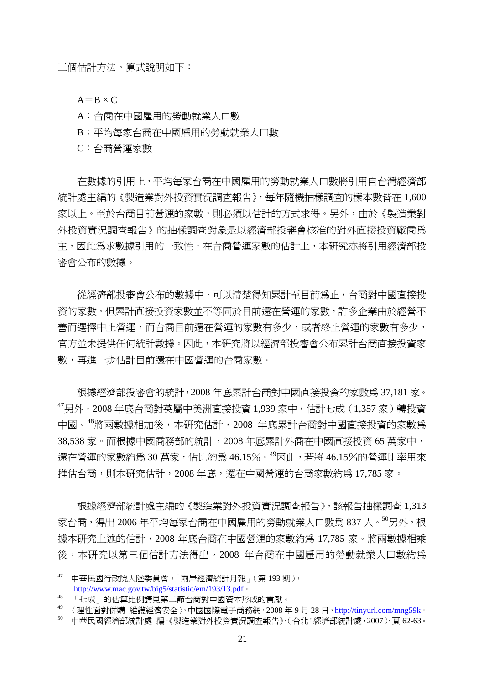三個估計方法。算式說明如下:

 $A=B \times C$ 

A:台商在中國雇用的勞動就業人口數

B:平均每家台商在中國雇用的勞動就業人口數

C:台商營運家數

在數據的引用上,平均每家台商在中國雇用的勞動就業人口數將引用自台灣經濟部 統計處主編的《製造業對外投資實況調査報告》,每年隨機抽樣調査的樣本數皆在 1,600 家以上。至於台商目前營運的家數,則必須以估計的方式求得。另外,由於《製造業對 外投資實況調查報告》的抽樣調查對象是以經濟部投審會核准的對外直接投資廠商為 主,因此為求數據引用的一致性,在台商營運家數的估計上,本研究亦將引用經濟部投 審會公布的數據。

從經濟部投審會公布的數據中,可以清楚得知累計至目前為止,台商對中國直接投 資的家數。但累計直接投資家數並不等同於目前還在營運的家數,許多企業由於經營不 善而選擇中止營運,而台商目前還在營運的家數有多少,或者終止營運的家數有多少, 官方並未提供任何統計數據。因此,本研究將以經濟部投審會公布累計台商直接投資家 數,再進一步估計目前還在中國營運的台商家數。

根據經濟部投審會的統計,2008 年底累計台商對中國直接投資的家數為 37,181 家。 <sup>47</sup>另外,2008 年底台商對英屬中美洲直接投資 1,939 家中,估計七成(1,357 家)轉投資 中國。<sup>48</sup>將兩數據相加後,本研究估計,2008 年底累計台商對中國直接投資的家數為 38,538 家。而根據中國商務部的統計,2008 年底累計外商在中國直接投資 65 萬家中, 還在營運的家數約爲 30 萬家,佔比約爲 46.15%。<sup>49</sup>因此,若將 46.15%的營運比率用來 推估台商,則本研究估計,2008年底,還在中國營運的台商家數約為 17,785 家。

根據經濟部統計處主編的《製造業對外投資實況調查報告》,該報告抽樣調查 1,313 家台商,得出 2006年平均每家台商在中國雇用的勞動就業人口數為 837 人。<sup>50</sup>另外,根 據本研究上述的估計,2008 年底台商在中國營運的家數約為 17,785 家。將兩數據相乘 後,本研究以第三個估計方法得出,2008 年台商在中國雇用的勞動就業人口數約為

<sup>47</sup> 中華民國行政院大陸委員會,「兩岸經濟統計月報」(第 193 期), http://www.mac.gov.tw/big5/statistic/em/193/13.pdf。

<sup>48</sup> 「七成」的估算比例請見第二節台商對中國資本形成的貢獻。

<sup>49</sup> 〈理性面對併購 維護經濟安全〉,中國國際電子商務網,2008 年 9 月 28 日,http://tinyurl.com/mng59k。

<sup>50</sup> 中華民國經濟部統計處 編,《製造業對外投資實況調查報告》,(台北:經濟部統計處,2007),頁 62-63。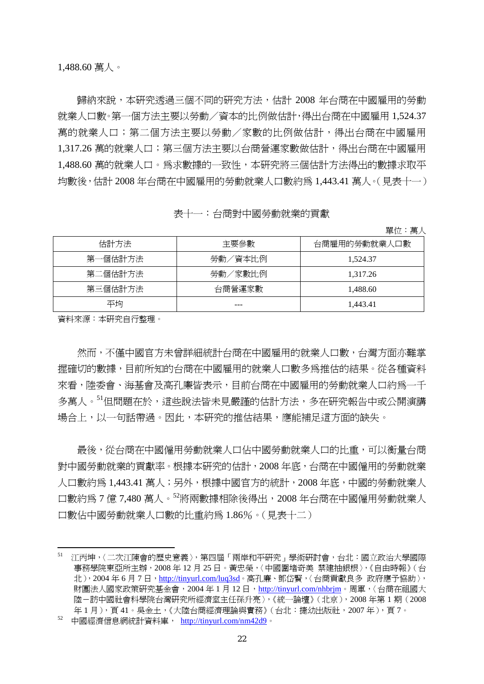1,488.60 萬人。

歸納來說,本研究透過三個不同的研究方法,估計 2008 年台商在中國雇用的勞動 就業人口數。第一個方法主要以勞動/資本的比例做估計,得出台商在中國雇用 1,524.37 萬的就業人口;第二個方法主要以勞動/家數的比例做估計,得出台商在中國雇用 1,317.26 萬的就業人口; 第三個方法主要以台商營運家數做估計, 得出台商在中國雇用 1,488.60 萬的就業人口。為求數據的一致性,本研究將三個估計方法得出的數據求取平 均數後,估計 2008 年台商在中國雇用的勞動就業人口數約為 1,443.41 萬人。(見表十一)

表十一:台商對中國勞動就業的貢獻

單位:萬人

| 估計方法    | 主要參數    | 台商雇用的勞動就業人口數 |
|---------|---------|--------------|
| 第一個估計方法 | 勞動/資本比例 | 1,524.37     |
| 第二個估計方法 | 勞動/家數比例 | 1,317.26     |
| 第三個估計方法 | 台商營運家數  | 1,488.60     |
| 平均      |         | 1.443.41     |

資料來源:本研究自行整理。

然而,不僅中國官方未曾詳細統計台商在中國雇用的就業人口數,台灣方面亦難掌 握確切的數據,目前所知的台商在中國雇用的就業人口數多為推估的結果。從各種資料 來看,陸委會、海基會及高孔廉皆表示,目前台商在中國雇用的勞動就業人口約爲一千 多萬人。"但問題在於,這些說法皆未見嚴謹的估計方法,多在研究報告中或公開演講 場合上,以一句話帶過。因此,本研究的推估結果,應能補足這方面的缺失。

最後,從台商在中國學動就業人口的比重,可以衡量台商 對中國勞動就業的貢獻率。根據本研究的估計,2008 年底,台商在中國僱用的勞動就業 人口數約為 1,443.41 萬人;另外,根據中國官方的統計,2008 年底,中國的勞動就業人 口數約為 7 億 7,480 萬人。<sup>52</sup>將兩數據相除後得出,2008 年台商在中國僱用勞動就業人 口數佔中國勞動就業人口數的比重約為 1.86%。(見表十二)

<sup>51</sup> 江丙坤,〈二次江陳會的歷史意義〉,第四屆「兩岸和平研究」學術研討會,台北:國立政治大學國際 事務學院東亞所主辦,2008 年 12 月 25 日。黃忠榮,〈中國圍堵奇美 禁建抽銀根〉,《自由時報》(台 北),2004 年 6 月 7 日,http://tinyurl.com/luq3sd。高孔廉、鄧岱賢,〈台商貢獻良多 政府應予協助〉, 財團法人國家政策研究基金會, 2004年1月12日, http://tinyurl.com/nhbrjm。周軍,〈台商在祖國大 陸-訪中國社會科學院台灣研究所經濟室主任孫升亮〉,《統一論壇》(北京),2008 年第 1 期(2008 年1月),頁41。吳金土,《大陸台商經濟理論與實務》(台北:捷幼出版社,2007年),頁7。

<sup>52</sup> 中國經濟信息網統計資料庫, http://tinyurl.com/nm42d9。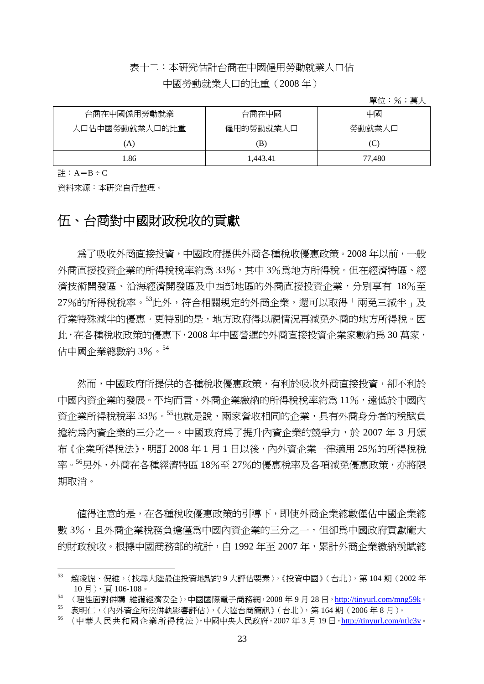### 表十二:本研究估計台商在中國僱用勞動就業人口佔

#### 中國勞動就業人口的比重(2008 年)

單位:%;萬人

| 台商在中國僱用勞動就業    | 台商在中國     | 中國     |
|----------------|-----------|--------|
| 人口佔中國勞動就業人口的比重 | 僱用的勞動就業人口 | 勞動就業人口 |
| (A)            | ΈB)       | C      |
| l.86           | 1.443.41  | 77,480 |

註:  $A=B-C$ 

資料來源:本研究自行整理。

### 伍、台商對中國財政稅收的貢獻

 為了吸收外商直接投資,中國政府提供外商各種稅收優惠政策。2008 年以前,一般 外商直接投資企業的所得稅稅率約為 33%,其中 3%為地方所得稅。但在經濟特區、經 濟技術開發區、沿海經濟開發區及中西部地區的外商直接投資企業,分別享有 18%至 27%的所得稅稅率。<sup>53</sup>此外,符合相關規定的外商企業,還可以取得「兩孕三減半」及 行業特殊減半的優惠。更特別的是,地方政府得以視情況再減免外商的地方所得稅。因 此,在各種稅收政策的優惠下,2008 年中國營運的外商直接投資企業家數約為 30 萬家, 佔中國企業總數約 3%。<sup>54</sup>

 然而,中國政府所提供的各種稅收優惠政策,有利於吸收外商直接投資,卻不利於 中國內資企業的發展。平均而言,外商企業繳納的所得稅稅率約為 11%,遠低於中國內 資企業所得稅稅率 33%。<sup>55</sup>也就是說,兩家營收相同的企業,具有外商身分者的稅賦負 擔約為內資企業的三分之一。中國政府為了提升內資企業的競爭力,於 2007 年 3 月頒 布《企業所得稅法》,明訂 2008年1月1日以後,內外資企業一律適用 25%的所得稅稅 率。<sup>56</sup>另外,外商在各種經濟特區 18%至 27%的優惠稅率及各項減免優惠政策,亦將限 期取消。

值得注意的是,在各種稅收優惠政策的引導下,即使外商企業總數僅佔中國企業總 數 3%,日外商企業稅務負擔僅為中國內資企業的三分之一,但卻為中國政府貢獻龐大 的財政稅收。根據中國商務部的統計,自 1992 年至 2007 年,累計外商企業繳納稅賦總

<sup>53</sup> 趙凌旎、倪維,〈找尋大陸最佳投資地點的 9 大評估要素〉,《投資中國》(台北),第 104 期(2002 年 10 月 ), 頁 106-108。<br>54 〈理性面對併購 維護經濟安全 〉,中國國際電子商務網, 2008 年 9 月 28 日, http://tinyurl.com/mng59k。

<sup>55</sup> 袁明仁,〈內外資企所稅併軌影響評估〉,《大陸台商簡訊》(台北),第 164 期(2006 年 8 月)。

<sup>56 〈</sup>中華人民共和國企業所得稅法〉,中國中央人民政府, 2007年3月19日, http://tinyurl.com/ntlc3v。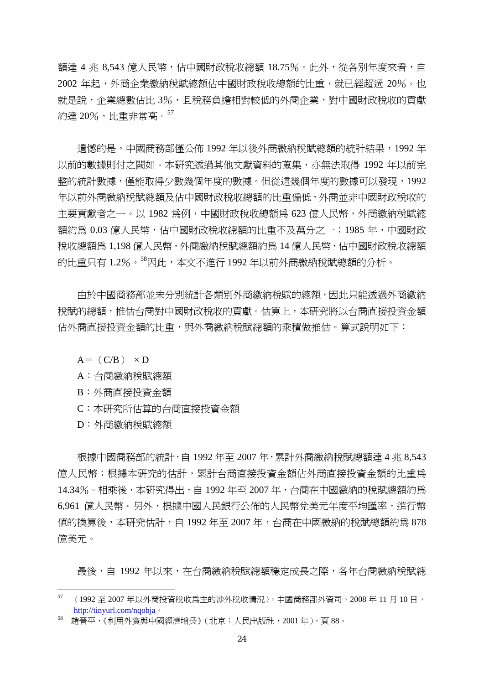額達 4 兆 8.543 億人民幣,佔中國財政稅收總額 18.75%。此外,從各別年度來看,自 2002 年起,外商企業繳納稅賦總額佔中國財政稅收總額的比重,就已經超過 20%。也 就是說,企業總數佔比 3%,且稅務負擔相對較低的外商企業,對中國財政稅收的貢獻 約達 20%,比重非常高。<sup>57</sup>

清憾的是,中國商務部僅公佈 1992 年以後外商繳納稅賦總額的統計結果,1992 年 以前的數據則付之闕如。本研究透過其他文獻資料的蒐集,亦無法取得 1992 年以前完 整的統計數據,僅能取得少數幾個年度的數據。但從這幾個年度的數據可以發現,1992 年以前外商繳納稅賦總額及佔中國財政稅收總額的比重偏低,外商並非中國財政稅收的 主要貢獻者之一。以 1982 為例,中國財政稅收總額為 623 億人民幣,外商繳納稅賦總 額約為 0.03 億人民幣,佔中國財政稅收總額的比重不及萬分之一;1985 年,中國財政 稅收總額為 1,198 億人民幣,外商繳納稅賦總額約為 14 億人民幣,佔中國財政稅收總額 的比重只有 1.2%。58因此,本文不進行 1992 年以前外商繳納稅賦總額的分析。

 由於中國商務部並未分別統計各類別外商繳納稅賦的總額,因此只能透過外商繳納 稅賦的總額,推估台商對中國財政稅收的貢獻。估算上,本研究將以台商直接投資金額 佔外商直接投資金額的比重,與外商繳納稅賦總額的乘積做推估。算式說明如下:

 $A=$  (C/B)  $\times$  D

- A:台商繳納稅賦總額
- B:外商直接投資金額
- C:本研究所估算的台商直接投資金額
- D:外商繳納稅賦總額

 根據中國商務部的統計,自 1992 年至 2007 年,累計外商繳納稅賦總額達 4 兆 8,543 **億人民幣;根據本研究的估計,累計台商直接投資金額佔外商直接投資金額的比重為** 14.34%。相乘後,本研究得出,自 1992年至 2007年,台商在中國繳納的稅賦總額約為 6,961 億人民幣。另外,根據中國人民銀行公佈的人民幣兌美元年度平均匯率,進行幣 值的換算後,本研究估計,自 1992 年至 2007 年,台商在中國繳納的稅賦總額約為 878 億美元。

最後,自 1992 年以來,在台商繳納稅賦總額穩定成長之際,各年台商繳納稅賦總

 $57$  (1992至 2007年以外商投資稅收為主的涉外稅收情況〉,中國商務部外資司, 2008年11月10日, http://tinyurl.com/nqobja。<br><sup>58</sup> 趙晉平,《利用外資與中國經濟增長》(北京:人民出版社,2001 年 ),頁 88。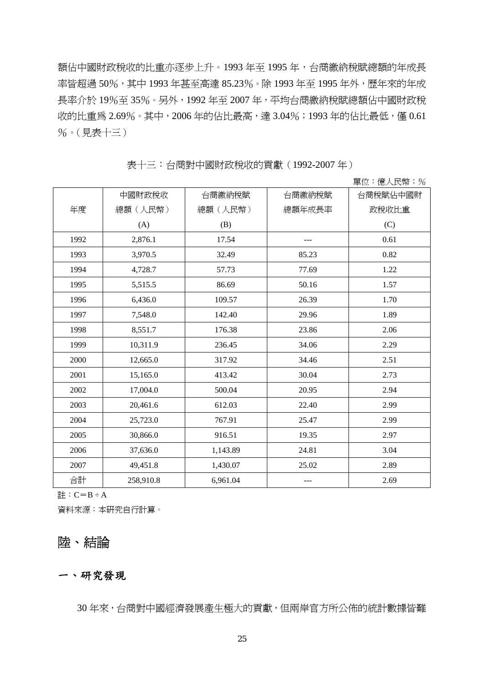額佔中國財政稅收的比重亦逐步上升。1993 年至 1995 年,台商繳納稅賦總額的年成長 率皆超過 50%,其中 1993 年甚至高達 85.23%。除 1993 年至 1995 年外,歷年來的年成 長率介於 19%至 35%。另外,1992 年至 2007 年,平均台商繳納稅賦總額佔中國財政稅 收的比重為 2.69%。其中, 2006年的佔比最高,達 3.04%;1993年的佔比最低,僅 0.61 %。(見表十三)

表十三:台商對中國財政稅收的貢獻(1992-2007 年)

單位:億人民幣;%

|      |           |          |        | $  -$<br>トロウン アナイス・エヌ・ティング |
|------|-----------|----------|--------|----------------------------|
|      | 中國財政稅收    | 台商繳納稅賦   | 台商繳納稅賦 | 台商稅賦佔中國財                   |
| 年度   | 總額(人民幣)   | 總額(人民幣)  | 總額年成長率 | 政稅收比重                      |
|      | (A)       | (B)      |        | (C)                        |
| 1992 | 2,876.1   | 17.54    |        | 0.61                       |
| 1993 | 3,970.5   | 32.49    | 85.23  | 0.82                       |
| 1994 | 4,728.7   | 57.73    | 77.69  | 1.22                       |
| 1995 | 5,515.5   | 86.69    | 50.16  | 1.57                       |
| 1996 | 6,436.0   | 109.57   | 26.39  | 1.70                       |
| 1997 | 7,548.0   | 142.40   | 29.96  | 1.89                       |
| 1998 | 8,551.7   | 176.38   | 23.86  | 2.06                       |
| 1999 | 10,311.9  | 236.45   | 34.06  | 2.29                       |
| 2000 | 12,665.0  | 317.92   | 34.46  | 2.51                       |
| 2001 | 15,165.0  | 413.42   | 30.04  | 2.73                       |
| 2002 | 17,004.0  | 500.04   | 20.95  | 2.94                       |
| 2003 | 20,461.6  | 612.03   | 22.40  | 2.99                       |
| 2004 | 25,723.0  | 767.91   | 25.47  | 2.99                       |
| 2005 | 30,866.0  | 916.51   | 19.35  | 2.97                       |
| 2006 | 37,636.0  | 1,143.89 | 24.81  | 3.04                       |
| 2007 | 49,451.8  | 1,430.07 | 25.02  | 2.89                       |
| 合計   | 258,910.8 | 6,961.04 |        | 2.69                       |

 $\exists \dagger : C = B \div A$ 

資料來源:本研究自行計算。

# 陸、結論

#### 一、研究發現

30 年來,台商對中國經濟發展產生極大的貢獻,但兩岸官方所公佈的統計數據皆難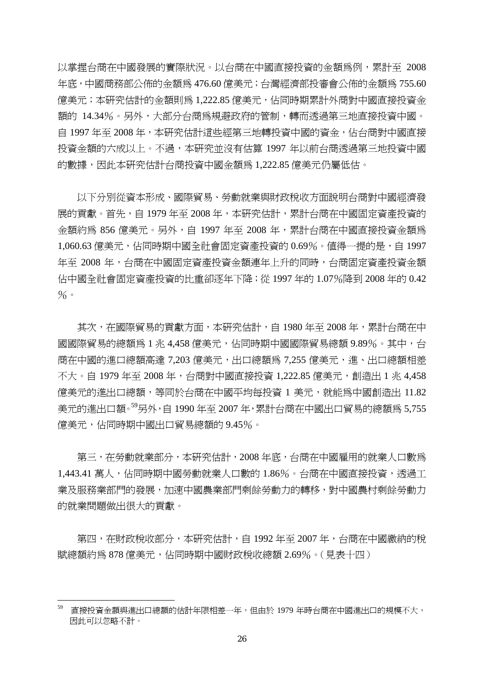以掌握台商在中國發展的實際狀況。以台商在中國直接投資的金額為例,累計至 2008 年底,中國商務部公佈的金額為 476.60 億美元;台灣經濟部投審會公佈的金額為 755.60 億美元;本研究估計的金額則爲 1,222.85 億美元,佔同時期累計外商對中國直接投資金 額的 14.34%。另外,大部分台商為規避政府的管制,轉而透過第三地直接投資中國。 自 1997 年至 2008 年,本研究估計這些經第三地轉投資中國的資金,佔台商對中國直接 投資金額的六成以上。不過,本研究並沒有估算 1997 年以前台商透過第三地投資中國 的數據,因此本研究估計台商投資中國金額為 1,222.85 億美元仍屬低估。

以下分別從資本形成、國際貿易、勞動就業與財政稅收方面說明台商對中國經濟發 展的貢獻。首先,自 1979 年至 2008 年,本研究估計,累計台商在中國固定資產投資的 金額約為 856 億美元。另外, 自 1997 年至 2008 年, 累計台商在中國直接投資金額為 1,060.63 億美元,佔同時期中國全社會固定資產投資的 0.69%。值得一提的是,自 1997 年至 2008 年,台商在中國固定資產投資金額連年上升的同時,台商固定資產投資金額 佔中國全社會固定資產投資的比重卻逐年下降;從 1997 年的 1.07%降到 2008 年的 0.42  $%$   $\frac{1}{2}$ 

其次,在國際貿易的貢獻方面,本研究估計,自 1980年至 2008年,累計台商在中 國國際貿易的總額為 1 兆 4,458 億美元,佔同時期中國國際貿易總額 9.89%。其中,台 商在中國的進口總額高達 7,203 億美元,出口總額為 7,255 億美元,進、出口總額相差 不大。自 1979 年至 2008 年,台商對中國直接投資 1,222.85 億美元,創造出 1 兆 4,458 億美元的進出口總額,等同於台商在中國平均每投資 1 美元,就能為中國創造出 11.82 美元的淮出口額<sup>。59</sup>另外, 自 1990 年至 2007 年, 累計台商在中國出口貿易的總額為 5.755 億美元,佔同時期中國出口貿易總額的 9.45%。

 第三,在勞動就業部分,本研究估計,2008 年底,台商在中國雇用的就業人口數為 1,443.41 萬人,佔同時期中國勞動就業人口數的 1.86%。台商在中國直接投資,透過工 業及服務業部門的發展,加速中國農業部門剩餘勞動力的轉移,對中國農村剩餘勞動力 的就業問題做出很大的貢獻。

 第四,在財政稅收部分,本研究估計,自 1992 年至 2007 年,台商在中國繳納的稅 賦總額約爲 878 億美元,佔同時期中國財政稅收總額 2.69%。(見表十四)

<sup>59</sup> 直接投資金額與進出口總額的估計年限相差一年,但由於 1979 年時台商在中國進出口的規模不大, 因此可以忽略不計。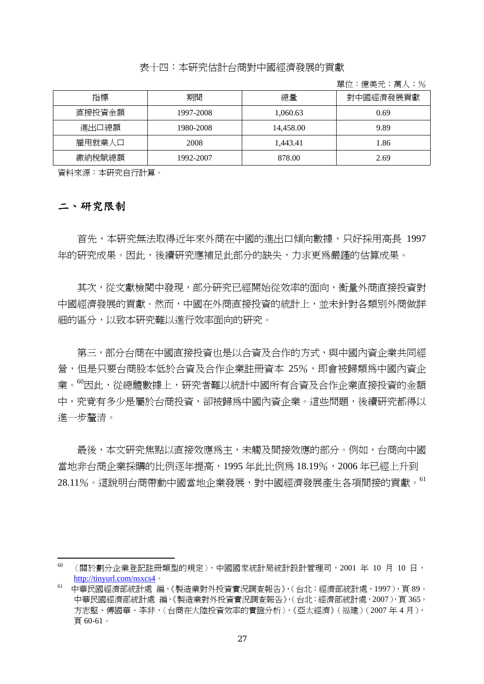#### 表十四:本研究估計台商對中國經濟發展的貢獻

單位:億美元;萬人;%

| 指標     | 期間        | 總量        | 對中國經濟發展貢獻 |
|--------|-----------|-----------|-----------|
| 直接投資金額 | 1997-2008 | 1.060.63  | 0.69      |
| 進出口總額  | 1980-2008 | 14.458.00 | 9.89      |
| 雇用就業人口 | 2008      | 1.443.41  | 1.86      |
| 繳納稅賦總額 | 1992-2007 | 878.00    | 2.69      |

資料來源:本研究自行計算。

#### 二、研究限制

 首先,本研究無法取得近年來外商在中國的進出口傾向數據,只好採用高長 1997 年的研究成果。因此,後續研究應補足此部分的缺失,力求更為嚴謹的估算成果。

 其次,從文獻檢閱中發現,部分研究已經開始從效率的面向,衡量外商直接投資對 中國經濟發展的貢獻。然而,中國在外商直接投資的統計上,並未針對各類別外商做詳 細的區分,以致本研究難以進行效率面向的研究。

 第三,部分台商在中國直接投資也是以合資及合作的方式,與中國內資企業共同經 營,但是只要台商股本低於合資及合作企業註冊資本 25%,即會被歸類為中國內資企 業。"因此,從總體數據上,研究者難以統計中國所有合資及合作企業直接投資的金額 中,究竟有多少是屬於台商投資,卻被歸為中國內資企業。這些問題,後續研究都得以 進一步釐清。

 最後,本文研究焦點以直接效應為主,未觸及間接效應的部分。例如,台商向中國 當地非台商企業採購的比例逐年提高,1995年此比例為 18.19%,2006年已經上升到 28.11%。這說明台商帶動中國當地企業發展,對中國經濟發展產生各項間接的貢獻。<sup>61</sup>

<sup>60</sup> 〈關於劃分企業登記註冊類型的規定〉,中國國家統計局統計設計管理司,2001 年 10 月 10 日,

http://tinyurl.com/nsxcs4。<br><sup>61</sup> 中華民國經濟部統計處 編,《製造業對外投資實況調查報告》,(台北:經濟部統計處,1997),頁 89。 中華民國經濟部統計處 編,《製造業對外投資實況調查報告》,(台北:經濟部統計處,2007),頁 365。 方志堅、傅國華、李非,〈台商在大陸投資效率的實證分析〉,《亞太經濟》(福建)(2007 年 4 月), 頁 60-61。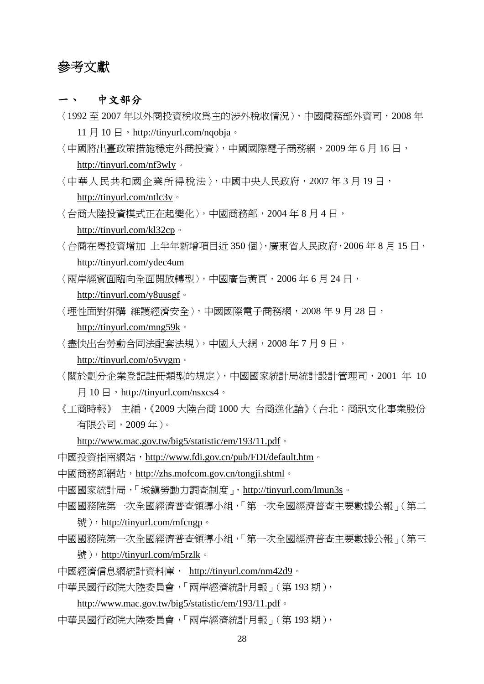## 參考文獻

一、 中文部分

〈1992 至 2007 年以外商投資稅收為主的涉外稅收情況〉,中國商務部外資司,2008 年

11  $\boxplus$  10  $\boxplus$  , http://tinyurl.com/nqobja 。

- 〈中國將出臺政策措施穩定外商投資〉,中國國際電子商務網,2009 年 6 月 16 日, http://tinyurl.com/nf3wly。
- 〈中華人民共和國企業所得稅法〉,中國中央人民政府,2007 年 3 月 19 日, http://tinyurl.com/ntlc3v。
- 〈台商大陸投資模式正在起變化〉,中國商務部,2004 年 8 月 4 日,

http://tinyurl.com/kl32cp。

- 〈台商在粵投資增加 上半年新增項目近 350 個〉,廣東省人民政府,2006 年 8 月 15 日, http://tinyurl.com/ydec4um
- 〈兩岸經貿面臨向全面開放轉型〉,中國廣告黃頁,2006 年 6 月 24 日,

http://tinyurl.com/y8uusgf。

〈理性面對併購 維護經濟安全〉,中國國際電子商務網,2008 年 9 月 28 日,

http://tinyurl.com/mng59k。

〈盡快出台勞動合同法配套法規〉,中國人大網,2008 年 7 月 9 日,

http://tinyurl.com/o5vygm。

- 〈關於劃分企業登記註冊類型的規定〉,中國國家統計局統計設計管理司,2001 年 10
	- 月 10 日, http://tinyurl.com/nsxcs4。
- 《工商時報》 主編,《2009 大陸台商 1000 大 台商進化論》(台北:商訊文化事業股份 有限公司,2009 年)。

http://www.mac.gov.tw/big5/statistic/em/193/11.pdf。

- 中國投資指南網站, http://www.fdi.gov.cn/pub/FDI/default.htm。
- 中國商務部網站,http://zhs.mofcom.gov.cn/tongji.shtml。

中國國家統計局,「城鎮勞動力調查制度」,http://tinyurl.com/lmun3s。

- 中國國務院第一次全國經濟普查領導小組,「第一次全國經濟普查主要數據公報」(第二 號), http://tinyurl.com/mfcngp。
- 中國國務院第一次全國經濟普查領導小組,「第一次全國經濟普查主要數據公報」(第三
	- 號), http://tinyurl.com/m5rzlk。
- 中國經濟信息網統計資料庫, http://tinyurl.com/nm42d9。
- 中華民國行政院大陸委員會,「兩岸經濟統計月報」(第193期),

http://www.mac.gov.tw/big5/statistic/em/193/11.pdf。

中華民國行政院大陸委員會,「兩岸經濟統計月報」(第193期),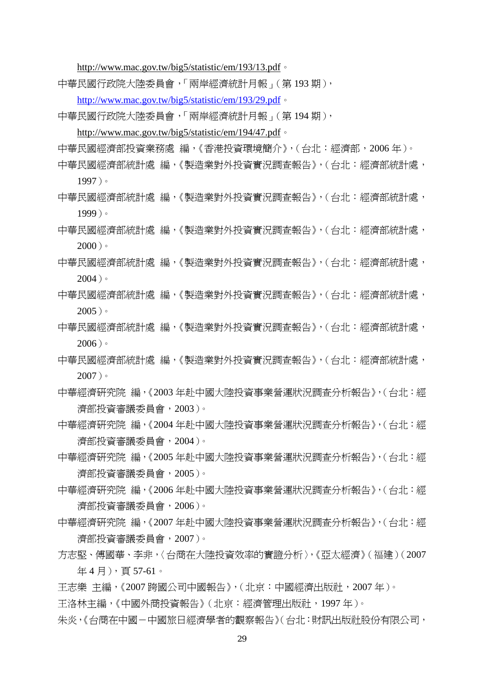http://www.mac.gov.tw/big5/statistic/em/193/13.pdf。

中華民國行政院大陸委員會,「兩岸經濟統計月報」(第 193 期 ),

http://www.mac.gov.tw/big5/statistic/em/193/29.pdf。

中華民國行政院大陸委員會,「兩岸經濟統計月報」(第194期),

http://www.mac.gov.tw/big5/statistic/em/194/47.pdf。

中華民國經濟部投資業務處 編,《香港投資環境簡介》,(台北:經濟部,2006 年)。

中華民國經濟部統計處 編,《製造業對外投資實況調查報告》,(台北:經濟部統計處, 1997)。

- 中華民國經濟部統計處 編,《製造業對外投資實況調查報告》,(台北:經濟部統計處, 1999)。
- 中華民國經濟部統計處 編,《製造業對外投資實況調杳報告》,(台北:經濟部統計處,  $2000$ )。
- 中華民國經濟部統計處 編,《製造業對外投資實況調查報告》,(台北:經濟部統計處, 2004)。
- 中華民國經濟部統計處 編,《製造業對外投資實況調查報告》,(台北:經濟部統計處, 2005)。
- 中華民國經濟部統計處 編,《製造業對外投資實況調查報告》,(台北:經濟部統計處,  $2006$ )。
- 中華民國經濟部統計處 編,《製造業對外投資實況調查報告》,(台北:經濟部統計處, 2007)。
- 中華經濟研究院 編,《2003 年赴中國大陸投資事業營運狀況調查分析報告》,(台北:經 濟部投資審議委員會,2003)。
- 中華經濟研究院 編,《2004 年赴中國大陸投資事業營運狀況調查分析報告》,(台北:經 濟部投資審議委員會,2004)。
- 中華經濟研究院 編,《2005 年赴中國大陸投資事業營運狀況調查分析報告》,(台北:經 濟部投資審議委員會,2005)。
- 中華經濟研究院 編,《2006 年赴中國大陸投資事業營運狀況調查分析報告》,(台北:經 濟部投資審議委員會,2006)。
- 中華經濟研究院 編,《2007 年赴中國大陸投資事業營運狀況調查分析報告》,(台北:經 濟部投資審議委員會,2007)。
- 方志堅、傅國華、李非,〈台商在大陸投資效率的實證分析〉,《亞太經濟》(福建)(2007 年 4 月),頁 57-61。
- 王志樂 主編,《2007 跨國公司中國報告》,(北京:中國經濟出版社,2007 年)。

王洛林主編,《中國外商投資報告》(北京:經濟管理出版社,1997 年)。

朱炎,《台商在中國一中國旅日經濟學者的觀察報告》(台北:財訊出版社股份有限公司,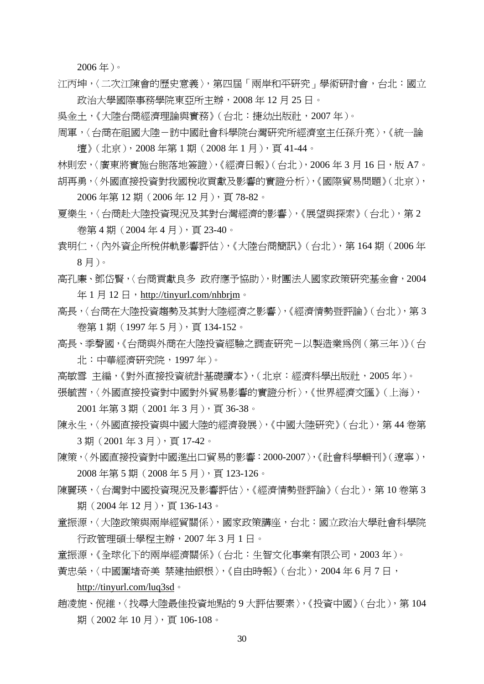2006 年)。

- 江丙坤,〈二次江陳會的歷史意義〉,第四屆「兩岸和平研究」學術研討會,台北:國立 政治大學國際事務學院東亞所主辦,2008 年 12 月 25 日。
- 吳金土,《大陸台商經濟理論與實務》(台北:捷幼出版社,2007 年)。
- 周軍,〈台商在祖國大陸-訪中國社會科學院台灣研究所經濟室主任孫升亮〉,《統一論 壇》(北京),2008 年第 1 期(2008 年 1 月),頁 41-44。
- 林則宏,〈廣東將實施台胞落地簽證〉,《經濟日報》(台北), 2006年3月16日, 版 A7。 胡再勇,〈外國直接投資對我國稅收貢獻及影響的實證分析〉,《國際貿易問題》(北京),
	- 2006 年第 12 期(2006 年 12 月),頁 78-82。
- 夏樂生,〈台商赴大陸投資現況及其對台灣經濟的影響〉,《展望與探索》(台北),第2 卷第 4 期(2004 年 4 月),頁 23-40。
- 袁明仁,〈內外資企所稅併軌影響評估〉,《大陸台商簡訊》(台北),第 164 期(2006 年 8 月)。
- 高孔廉、鄧岱賢,〈台商貢獻良多 政府應予協助〉,財團法人國家政策研究基金會,2004 年1月12日, http://tinyurl.com/nhbrjm。
- 高長,〈台商在大陸投資趨勢及其對大陸經濟之影響〉,《經濟情勢暨評論》(台北),第3 卷第 1 期(1997 年 5 月),頁 134-152。
- 高長、季聲國,《台商與外商在大陸投資經驗之調查研究-以製造業為例(第三年)》(台 北:中華經濟研究院,1997 年)。
- 高敏雪 主編,《對外直接投資統計基礎讀本》,(北京:經濟科學出版社,2005 年)。 張毓茜,〈外國直接投資對中國對外貿易影響的實證分析〉,《世界經濟文匯》(上海),

2001 年第 3 期(2001 年 3 月),頁 36-38。

- 陳永生,〈外國直接投資與中國大陸的經濟發展〉,《中國大陸研究》(台北),第44卷第 3 期(2001 年 3 月),頁 17-42。
- 陳策,〈外國直接投資對中國進出口貿易的影響:2000-2007〉,《社會科學輯刊》(遼寧), 2008 年第 5 期(2008 年 5 月),頁 123-126。
- 陳麗瑛,〈台灣對中國投資現況及影響評估〉,《經濟情勢暨評論》(台北),第 10 卷第 3 期(2004年12月), 百136-143。
- 童振源,〈大陸政策與兩岸經貿關係〉,國家政策講座,台北:國立政治大學社會科學院 行政管理碩士學程主辦,2007 年 3 月 1 日。
- 童振源,《全球化下的兩岸經濟關係》(台北:生智文化事業有限公司,2003年)。
- 黃忠榮,〈中國圍堵奇美 禁建抽銀根〉,《自由時報》(台北), 2004年6月7日,
	- http://tinyurl.com/luq3sd。
- 趙凌旎、倪維,〈找尋大陸最佳投資地點的 9 大評估要素〉,《投資中國》(台北),第 104 期(2002年10月), 百106-108。